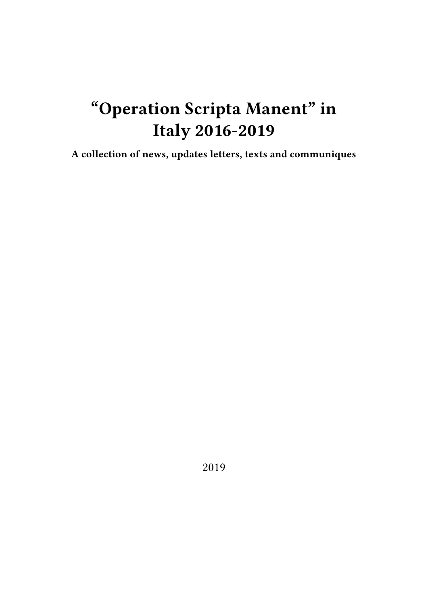# **"Operation Scripta Manent" in Italy 2016-2019**

**A collection of news, updates letters, texts and communiques**

2019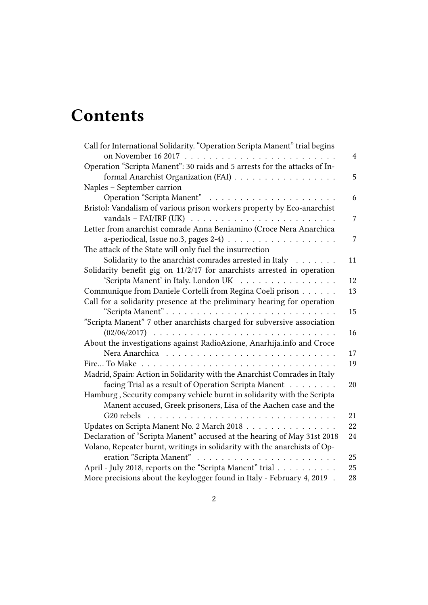# **Contents**

| Call for International Solidarity. "Operation Scripta Manent" trial begins |    |
|----------------------------------------------------------------------------|----|
|                                                                            | 4  |
| Operation "Scripta Manent": 30 raids and 5 arrests for the attacks of In-  |    |
| formal Anarchist Organization (FAI)                                        | 5  |
| Naples - September carrion                                                 |    |
|                                                                            | 6  |
| Bristol: Vandalism of various prison workers property by Eco-anarchist     |    |
| vandals - FAI/IRF (UK) $\ldots \ldots \ldots \ldots \ldots \ldots \ldots$  | 7  |
| Letter from anarchist comrade Anna Beniamino (Croce Nera Anarchica         |    |
|                                                                            | 7  |
| The attack of the State will only fuel the insurrection                    |    |
| Solidarity to the anarchist comrades arrested in Italy                     | 11 |
| Solidarity benefit gig on 11/2/17 for anarchists arrested in operation     |    |
| 'Scripta Manent' in Italy. London UK                                       | 12 |
| Communique from Daniele Cortelli from Regina Coeli prison                  | 13 |
| Call for a solidarity presence at the preliminary hearing for operation    |    |
|                                                                            | 15 |
| "Scripta Manent" 7 other anarchists charged for subversive association     |    |
|                                                                            | 16 |
| About the investigations against RadioAzione, Anarhija.info and Croce      |    |
|                                                                            | 17 |
|                                                                            | 19 |
| Madrid, Spain: Action in Solidarity with the Anarchist Comrades in Italy   |    |
| facing Trial as a result of Operation Scripta Manent                       | 20 |
| Hamburg, Security company vehicle burnt in solidarity with the Scripta     |    |
| Manent accused, Greek prisoners, Lisa of the Aachen case and the           |    |
|                                                                            | 21 |
| Updates on Scripta Manent No. 2 March 2018                                 | 22 |
| Declaration of "Scripta Manent" accused at the hearing of May 31st 2018    | 24 |
| Volano, Repeater burnt, writings in solidarity with the anarchists of Op-  |    |
|                                                                            | 25 |
| April - July 2018, reports on the "Scripta Manent" trial                   | 25 |
| More precisions about the keylogger found in Italy - February 4, 2019.     | 28 |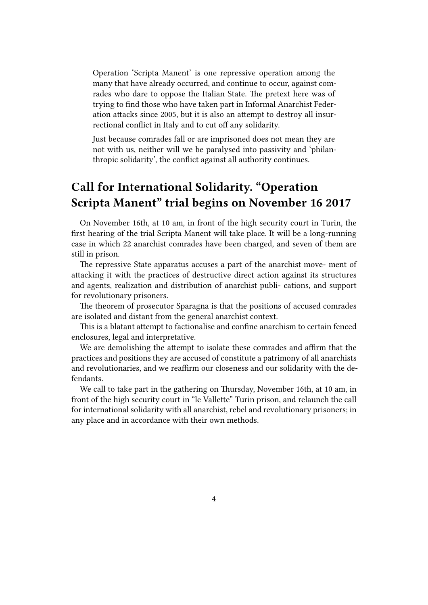Operation 'Scripta Manent' is one repressive operation among the many that have already occurred, and continue to occur, against comrades who dare to oppose the Italian State. The pretext here was of trying to find those who have taken part in Informal Anarchist Federation attacks since 2005, but it is also an attempt to destroy all insurrectional conflict in Italy and to cut off any solidarity.

Just because comrades fall or are imprisoned does not mean they are not with us, neither will we be paralysed into passivity and 'philanthropic solidarity', the conflict against all authority continues.

# <span id="page-3-0"></span>**Call for International Solidarity. "Operation Scripta Manent" trial begins on November 16 2017**

On November 16th, at 10 am, in front of the high security court in Turin, the first hearing of the trial Scripta Manent will take place. It will be a long-running case in which 22 anarchist comrades have been charged, and seven of them are still in prison.

The repressive State apparatus accuses a part of the anarchist move- ment of attacking it with the practices of destructive direct action against its structures and agents, realization and distribution of anarchist publi- cations, and support for revolutionary prisoners.

The theorem of prosecutor Sparagna is that the positions of accused comrades are isolated and distant from the general anarchist context.

This is a blatant attempt to factionalise and confine anarchism to certain fenced enclosures, legal and interpretative.

We are demolishing the attempt to isolate these comrades and affirm that the practices and positions they are accused of constitute a patrimony of all anarchists and revolutionaries, and we reaffirm our closeness and our solidarity with the defendants.

We call to take part in the gathering on Thursday, November 16th, at 10 am, in front of the high security court in "le Vallette" Turin prison, and relaunch the call for international solidarity with all anarchist, rebel and revolutionary prisoners; in any place and in accordance with their own methods.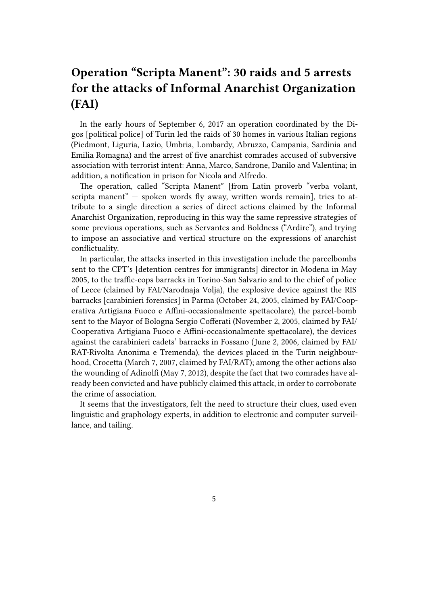# <span id="page-4-0"></span>**Operation "Scripta Manent": 30 raids and 5 arrests for the attacks of Informal Anarchist Organization (FAI)**

In the early hours of September 6, 2017 an operation coordinated by the Digos [political police] of Turin led the raids of 30 homes in various Italian regions (Piedmont, Liguria, Lazio, Umbria, Lombardy, Abruzzo, Campania, Sardinia and Emilia Romagna) and the arrest of five anarchist comrades accused of subversive association with terrorist intent: Anna, Marco, Sandrone, Danilo and Valentina; in addition, a notification in prison for Nicola and Alfredo.

The operation, called "Scripta Manent" [from Latin proverb "verba volant, scripta manent" — spoken words fly away, written words remain], tries to attribute to a single direction a series of direct actions claimed by the Informal Anarchist Organization, reproducing in this way the same repressive strategies of some previous operations, such as Servantes and Boldness ("Ardire"), and trying to impose an associative and vertical structure on the expressions of anarchist conflictuality.

In particular, the attacks inserted in this investigation include the parcelbombs sent to the CPT's [detention centres for immigrants] director in Modena in May 2005, to the traffic-cops barracks in Torino-San Salvario and to the chief of police of Lecce (claimed by FAI/Narodnaja Volja), the explosive device against the RIS barracks [carabinieri forensics] in Parma (October 24, 2005, claimed by FAI/Cooperativa Artigiana Fuoco e Affini-occasionalmente spettacolare), the parcel-bomb sent to the Mayor of Bologna Sergio Cofferati (November 2, 2005, claimed by FAI/ Cooperativa Artigiana Fuoco e Affini-occasionalmente spettacolare), the devices against the carabinieri cadets' barracks in Fossano (June 2, 2006, claimed by FAI/ RAT-Rivolta Anonima e Tremenda), the devices placed in the Turin neighbourhood, Crocetta (March 7, 2007, claimed by FAI/RAT); among the other actions also the wounding of Adinolfi (May 7, 2012), despite the fact that two comrades have already been convicted and have publicly claimed this attack, in order to corroborate the crime of association.

It seems that the investigators, felt the need to structure their clues, used even linguistic and graphology experts, in addition to electronic and computer surveillance, and tailing.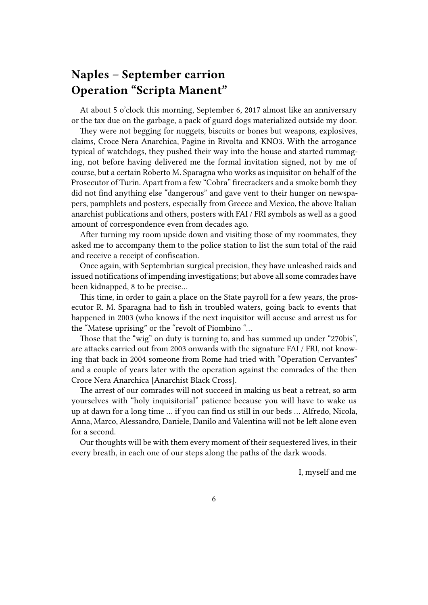### <span id="page-5-0"></span>**Naples – September carrion Operation "Scripta Manent"**

At about 5 o'clock this morning, September 6, 2017 almost like an anniversary or the tax due on the garbage, a pack of guard dogs materialized outside my door.

They were not begging for nuggets, biscuits or bones but weapons, explosives, claims, Croce Nera Anarchica, Pagine in Rivolta and KNO3. With the arrogance typical of watchdogs, they pushed their way into the house and started rummaging, not before having delivered me the formal invitation signed, not by me of course, but a certain Roberto M. Sparagna who works as inquisitor on behalf of the Prosecutor of Turin. Apart from a few "Cobra" firecrackers and a smoke bomb they did not find anything else "dangerous" and gave vent to their hunger on newspapers, pamphlets and posters, especially from Greece and Mexico, the above Italian anarchist publications and others, posters with FAI / FRI symbols as well as a good amount of correspondence even from decades ago.

After turning my room upside down and visiting those of my roommates, they asked me to accompany them to the police station to list the sum total of the raid and receive a receipt of confiscation.

Once again, with Septembrian surgical precision, they have unleashed raids and issued notifications of impending investigations; but above all some comrades have been kidnapped, 8 to be precise…

This time, in order to gain a place on the State payroll for a few years, the prosecutor R. M. Sparagna had to fish in troubled waters, going back to events that happened in 2003 (who knows if the next inquisitor will accuse and arrest us for the "Matese uprising" or the "revolt of Piombino "…

Those that the "wig" on duty is turning to, and has summed up under "270bis", are attacks carried out from 2003 onwards with the signature FAI / FRI, not knowing that back in 2004 someone from Rome had tried with "Operation Cervantes" and a couple of years later with the operation against the comrades of the then Croce Nera Anarchica [Anarchist Black Cross].

The arrest of our comrades will not succeed in making us beat a retreat, so arm yourselves with "holy inquisitorial" patience because you will have to wake us up at dawn for a long time … if you can find us still in our beds … Alfredo, Nicola, Anna, Marco, Alessandro, Daniele, Danilo and Valentina will not be left alone even for a second.

Our thoughts will be with them every moment of their sequestered lives, in their every breath, in each one of our steps along the paths of the dark woods.

I, myself and me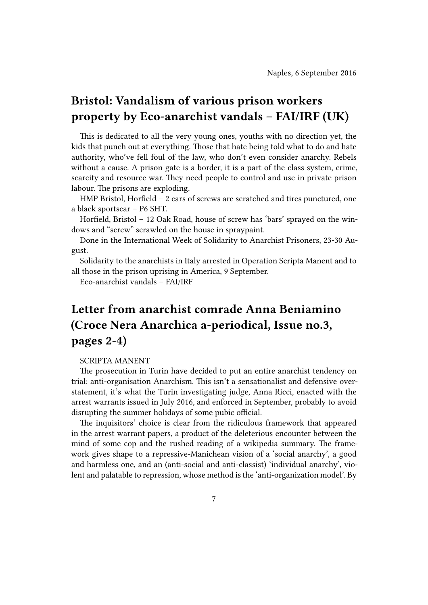# <span id="page-6-0"></span>**Bristol: Vandalism of various prison workers property by Eco-anarchist vandals – FAI/IRF (UK)**

This is dedicated to all the very young ones, youths with no direction yet, the kids that punch out at everything. Those that hate being told what to do and hate authority, who've fell foul of the law, who don't even consider anarchy. Rebels without a cause. A prison gate is a border, it is a part of the class system, crime, scarcity and resource war. They need people to control and use in private prison labour. The prisons are exploding.

HMP Bristol, Horfield – 2 cars of screws are scratched and tires punctured, one a black sportscar – P6 SHT.

Horfield, Bristol – 12 Oak Road, house of screw has 'bars' sprayed on the windows and "screw" scrawled on the house in spraypaint.

Done in the International Week of Solidarity to Anarchist Prisoners, 23-30 August.

Solidarity to the anarchists in Italy arrested in Operation Scripta Manent and to all those in the prison uprising in America, 9 September.

Eco-anarchist vandals – FAI/IRF

# <span id="page-6-1"></span>**Letter from anarchist comrade Anna Beniamino (Croce Nera Anarchica a-periodical, Issue no.3, pages 2-4)**

#### SCRIPTA MANENT

The prosecution in Turin have decided to put an entire anarchist tendency on trial: anti-organisation Anarchism. This isn't a sensationalist and defensive overstatement, it's what the Turin investigating judge, Anna Ricci, enacted with the arrest warrants issued in July 2016, and enforced in September, probably to avoid disrupting the summer holidays of some pubic official.

The inquisitors' choice is clear from the ridiculous framework that appeared in the arrest warrant papers, a product of the deleterious encounter between the mind of some cop and the rushed reading of a wikipedia summary. The framework gives shape to a repressive-Manichean vision of a 'social anarchy', a good and harmless one, and an (anti-social and anti-classist) 'individual anarchy', violent and palatable to repression, whose method is the 'anti-organization model'. By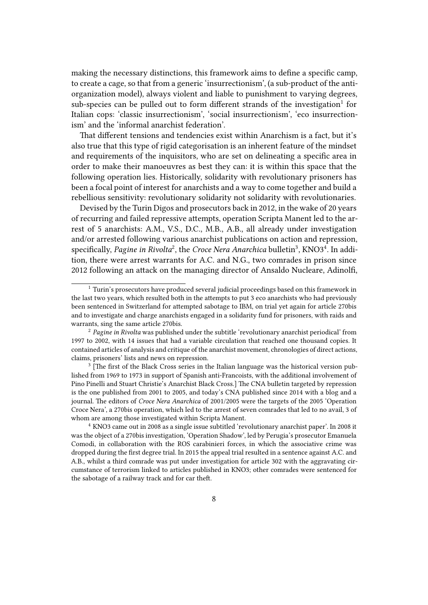making the necessary distinctions, this framework aims to define a specific camp, to create a cage, so that from a generic 'insurrectionism', (a sub-product of the antiorganization model), always violent and liable to punishment to varying degrees, sub-species can be pulled out to form different strands of the investigation<sup>1</sup> for Italian cops: 'classic insurrectionism', 'social insurrectionism', 'eco insurrectionism' and the 'informal anarchist federation'.

That different tensions and tendencies exist within Anarchism is a fact, but it's also true that this type of rigid categorisation is an inherent feature of the mindset and requirements of the inquisitors, who are set on delineating a specific area in order to make their manoeuvres as best they can: it is within this space that the following operation lies. Historically, solidarity with revolutionary prisoners has been a focal point of interest for anarchists and a way to come together and build a rebellious sensitivity: revolutionary solidarity not solidarity with revolutionaries.

Devised by the Turin Digos and prosecutors back in 2012, in the wake of 20 years of recurring and failed repressive attempts, operation Scripta Manent led to the arrest of 5 anarchists: A.M., V.S., D.C., M.B., A.B., all already under investigation and/or arrested following various anarchist publications on action and repression, specifically, Pagine in Rivolta<sup>2</sup>, the *Croce Nera Anarchica* bulletin<sup>3</sup>, KNO3<sup>4</sup>. In addition, there were arrest warrants for A.C. and N.G., two comrades in prison since 2012 following an attack on the managing director of Ansaldo Nucleare, Adinolfi,

<sup>3</sup> [The first of the Black Cross series in the Italian language was the historical version published from 1969 to 1973 in support of Spanish anti-Francoists, with the additional involvement of Pino Pinelli and Stuart Christie's Anarchist Black Cross.] The CNA bulletin targeted by repression is the one published from 2001 to 2005, and today's CNA published since 2014 with a blog and a journal. The editors of *Croce Nera Anarchica* of 2001/2005 were the targets of the 2005 'Operation Croce Nera', a 270bis operation, which led to the arrest of seven comrades that led to no avail, 3 of whom are among those investigated within Scripta Manent.

<sup>4</sup> KNO3 came out in 2008 as a single issue subtitled 'revolutionary anarchist paper'. In 2008 it was the object of a 270bis investigation, 'Operation Shadow', led by Perugia's prosecutor Emanuela Comodi, in collaboration with the ROS carabinieri forces, in which the associative crime was dropped during the first degree trial. In 2015 the appeal trial resulted in a sentence against A.C. and A.B., whilst a third comrade was put under investigation for article 302 with the aggravating circumstance of terrorism linked to articles published in KNO3; other comrades were sentenced for the sabotage of a railway track and for car theft.

<sup>&</sup>lt;sup>1</sup> Turin's prosecutors have produced several judicial proceedings based on this framework in the last two years, which resulted both in the attempts to put 3 eco anarchists who had previously been sentenced in Switzerland for attempted sabotage to IBM, on trial yet again for article 270bis and to investigate and charge anarchists engaged in a solidarity fund for prisoners, with raids and warrants, sing the same article 270bis.

<sup>2</sup> *Pagine in Rivolta* was published under the subtitle 'revolutionary anarchist periodical' from 1997 to 2002, with 14 issues that had a variable circulation that reached one thousand copies. It contained articles of analysis and critique of the anarchist movement, chronologies of direct actions, claims, prisoners' lists and news on repression.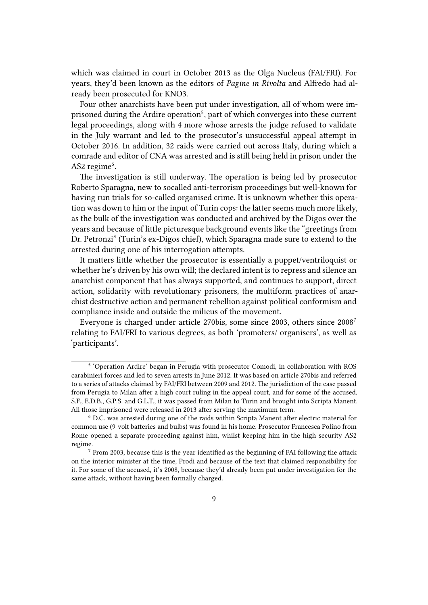which was claimed in court in October 2013 as the Olga Nucleus (FAI/FRI). For years, they'd been known as the editors of *Pagine in Rivolta* and Alfredo had already been prosecuted for KNO3.

Four other anarchists have been put under investigation, all of whom were imprisoned during the Ardire operation<sup>5</sup>, part of which converges into these current legal proceedings, along with 4 more whose arrests the judge refused to validate in the July warrant and led to the prosecutor's unsuccessful appeal attempt in October 2016. In addition, 32 raids were carried out across Italy, during which a comrade and editor of CNA was arrested and is still being held in prison under the AS2 regime<sup>6</sup>.

The investigation is still underway. The operation is being led by prosecutor Roberto Sparagna, new to socalled anti-terrorism proceedings but well-known for having run trials for so-called organised crime. It is unknown whether this operation was down to him or the input of Turin cops: the latter seems much more likely, as the bulk of the investigation was conducted and archived by the Digos over the years and because of little picturesque background events like the "greetings from Dr. Petronzi" (Turin's ex-Digos chief), which Sparagna made sure to extend to the arrested during one of his interrogation attempts.

It matters little whether the prosecutor is essentially a puppet/ventriloquist or whether he's driven by his own will; the declared intent is to repress and silence an anarchist component that has always supported, and continues to support, direct action, solidarity with revolutionary prisoners, the multiform practices of anarchist destructive action and permanent rebellion against political conformism and compliance inside and outside the milieus of the movement.

Everyone is charged under article 270bis, some since 2003, others since 2008<sup>7</sup> relating to FAI/FRI to various degrees, as both 'promoters/ organisers', as well as 'participants'.

<sup>&</sup>lt;sup>5</sup> 'Operation Ardire' began in Perugia with prosecutor Comodi, in collaboration with ROS carabinieri forces and led to seven arrests in June 2012. It was based on article 270bis and referred to a series of attacks claimed by FAI/FRI between 2009 and 2012. The jurisdiction of the case passed from Perugia to Milan after a high court ruling in the appeal court, and for some of the accused, S.F., E.D.B., G.P.S. and G.L.T., it was passed from Milan to Turin and brought into Scripta Manent. All those imprisoned were released in 2013 after serving the maximum term.

<sup>6</sup> D.C. was arrested during one of the raids within Scripta Manent after electric material for common use (9-volt batteries and bulbs) was found in his home. Prosecutor Francesca Polino from Rome opened a separate proceeding against him, whilst keeping him in the high security AS2 regime.

 $7$  From 2003, because this is the year identified as the beginning of FAI following the attack on the interior minister at the time, Prodi and because of the text that claimed responsibility for it. For some of the accused, it's 2008, because they'd already been put under investigation for the same attack, without having been formally charged.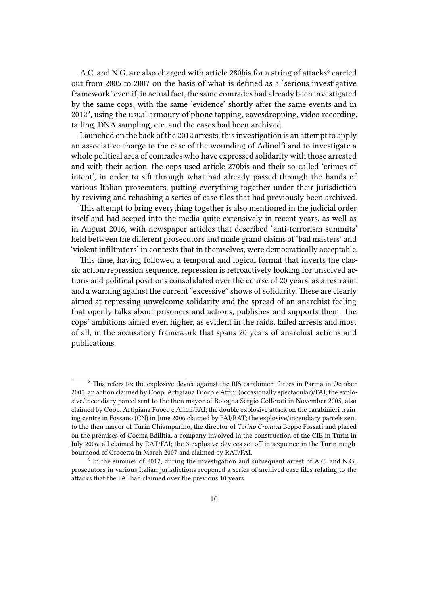A.C. and N.G. are also charged with article 280bis for a string of attacks<sup>8</sup> carried out from 2005 to 2007 on the basis of what is defined as a 'serious investigative framework' even if, in actual fact, the same comrades had already been investigated by the same cops, with the same 'evidence' shortly after the same events and in  $2012<sup>9</sup>$ , using the usual armoury of phone tapping, eavesdropping, video recording, tailing, DNA sampling, etc. and the cases had been archived.

Launched on the back of the 2012 arrests, this investigation is an attempt to apply an associative charge to the case of the wounding of Adinolfi and to investigate a whole political area of comrades who have expressed solidarity with those arrested and with their action: the cops used article 270bis and their so-called 'crimes of intent', in order to sift through what had already passed through the hands of various Italian prosecutors, putting everything together under their jurisdiction by reviving and rehashing a series of case files that had previously been archived.

This attempt to bring everything together is also mentioned in the judicial order itself and had seeped into the media quite extensively in recent years, as well as in August 2016, with newspaper articles that described 'anti-terrorism summits' held between the different prosecutors and made grand claims of 'bad masters' and 'violent infiltrators' in contexts that in themselves, were democratically acceptable.

This time, having followed a temporal and logical format that inverts the classic action/repression sequence, repression is retroactively looking for unsolved actions and political positions consolidated over the course of 20 years, as a restraint and a warning against the current "excessive" shows of solidarity. These are clearly aimed at repressing unwelcome solidarity and the spread of an anarchist feeling that openly talks about prisoners and actions, publishes and supports them. The cops' ambitions aimed even higher, as evident in the raids, failed arrests and most of all, in the accusatory framework that spans 20 years of anarchist actions and publications.

<sup>&</sup>lt;sup>8</sup> This refers to: the explosive device against the RIS carabinieri forces in Parma in October 2005, an action claimed by Coop. Artigiana Fuoco e Affini (occasionally spectacular)/FAI; the explosive/incendiary parcel sent to the then mayor of Bologna Sergio Cofferati in November 2005, also claimed by Coop. Artigiana Fuoco e Affini/FAI; the double explosive attack on the carabinieri training centre in Fossano (CN) in June 2006 claimed by FAI/RAT; the explosive/incendiary parcels sent to the then mayor of Turin Chiamparino, the director of *Torino Cronaca* Beppe Fossati and placed on the premises of Coema Edilitia, a company involved in the construction of the CIE in Turin in July 2006, all claimed by RAT/FAI; the 3 explosive devices set off in sequence in the Turin neighbourhood of Crocetta in March 2007 and claimed by RAT/FAI.

<sup>&</sup>lt;sup>9</sup> In the summer of 2012, during the investigation and subsequent arrest of A.C. and N.G., prosecutors in various Italian jurisdictions reopened a series of archived case files relating to the attacks that the FAI had claimed over the previous 10 years.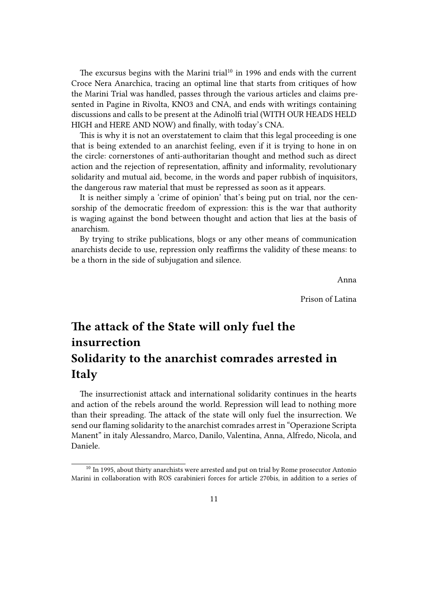The excursus begins with the Marini trial $10$  in 1996 and ends with the current Croce Nera Anarchica, tracing an optimal line that starts from critiques of how the Marini Trial was handled, passes through the various articles and claims presented in Pagine in Rivolta, KNO3 and CNA, and ends with writings containing discussions and calls to be present at the Adinolfi trial (WITH OUR HEADS HELD HIGH and HERE AND NOW) and finally, with today's CNA.

This is why it is not an overstatement to claim that this legal proceeding is one that is being extended to an anarchist feeling, even if it is trying to hone in on the circle: cornerstones of anti-authoritarian thought and method such as direct action and the rejection of representation, affinity and informality, revolutionary solidarity and mutual aid, become, in the words and paper rubbish of inquisitors, the dangerous raw material that must be repressed as soon as it appears.

It is neither simply a 'crime of opinion' that's being put on trial, nor the censorship of the democratic freedom of expression: this is the war that authority is waging against the bond between thought and action that lies at the basis of anarchism.

By trying to strike publications, blogs or any other means of communication anarchists decide to use, repression only reaffirms the validity of these means: to be a thorn in the side of subjugation and silence.

Anna

Prison of Latina

# <span id="page-10-0"></span>**The attack of the State will only fuel the insurrection Solidarity to the anarchist comrades arrested in Italy**

The insurrectionist attack and international solidarity continues in the hearts and action of the rebels around the world. Repression will lead to nothing more than their spreading. The attack of the state will only fuel the insurrection. We send our flaming solidarity to the anarchist comrades arrest in "Operazione Scripta Manent" in italy Alessandro, Marco, Danilo, Valentina, Anna, Alfredo, Nicola, and Daniele.

 $10$  In 1995, about thirty anarchists were arrested and put on trial by Rome prosecutor Antonio Marini in collaboration with ROS carabinieri forces for article 270bis, in addition to a series of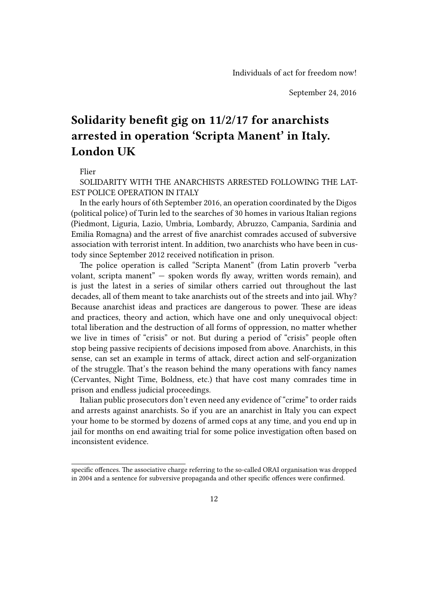# <span id="page-11-0"></span>**Solidarity benefit gig on 11/2/17 for anarchists arrested in operation 'Scripta Manent' in Italy. London UK**

Flier

SOLIDARITY WITH THE ANARCHISTS ARRESTED FOLLOWING THE LAT-EST POLICE OPERATION IN ITALY

In the early hours of 6th September 2016, an operation coordinated by the Digos (political police) of Turin led to the searches of 30 homes in various Italian regions (Piedmont, Liguria, Lazio, Umbria, Lombardy, Abruzzo, Campania, Sardinia and Emilia Romagna) and the arrest of five anarchist comrades accused of subversive association with terrorist intent. In addition, two anarchists who have been in custody since September 2012 received notification in prison.

The police operation is called "Scripta Manent" (from Latin proverb "verba volant, scripta manent" — spoken words fly away, written words remain), and is just the latest in a series of similar others carried out throughout the last decades, all of them meant to take anarchists out of the streets and into jail. Why? Because anarchist ideas and practices are dangerous to power. These are ideas and practices, theory and action, which have one and only unequivocal object: total liberation and the destruction of all forms of oppression, no matter whether we live in times of "crisis" or not. But during a period of "crisis" people often stop being passive recipients of decisions imposed from above. Anarchists, in this sense, can set an example in terms of attack, direct action and self-organization of the struggle. That's the reason behind the many operations with fancy names (Cervantes, Night Time, Boldness, etc.) that have cost many comrades time in prison and endless judicial proceedings.

Italian public prosecutors don't even need any evidence of "crime" to order raids and arrests against anarchists. So if you are an anarchist in Italy you can expect your home to be stormed by dozens of armed cops at any time, and you end up in jail for months on end awaiting trial for some police investigation often based on inconsistent evidence.

specific offences. The associative charge referring to the so-called ORAI organisation was dropped in 2004 and a sentence for subversive propaganda and other specific offences were confirmed.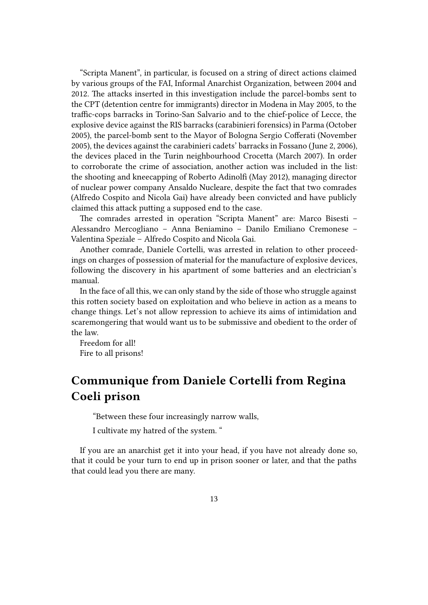"Scripta Manent", in particular, is focused on a string of direct actions claimed by various groups of the FAI, Informal Anarchist Organization, between 2004 and 2012. The attacks inserted in this investigation include the parcel-bombs sent to the CPT (detention centre for immigrants) director in Modena in May 2005, to the traffic-cops barracks in Torino-San Salvario and to the chief-police of Lecce, the explosive device against the RIS barracks (carabinieri forensics) in Parma (October 2005), the parcel-bomb sent to the Mayor of Bologna Sergio Cofferati (November 2005), the devices against the carabinieri cadets' barracks in Fossano (June 2, 2006), the devices placed in the Turin neighbourhood Crocetta (March 2007). In order to corroborate the crime of association, another action was included in the list: the shooting and kneecapping of Roberto Adinolfi (May 2012), managing director of nuclear power company Ansaldo Nucleare, despite the fact that two comrades (Alfredo Cospito and Nicola Gai) have already been convicted and have publicly claimed this attack putting a supposed end to the case.

The comrades arrested in operation "Scripta Manent" are: Marco Bisesti – Alessandro Mercogliano – Anna Beniamino – Danilo Emiliano Cremonese – Valentina Speziale – Alfredo Cospito and Nicola Gai.

Another comrade, Daniele Cortelli, was arrested in relation to other proceedings on charges of possession of material for the manufacture of explosive devices, following the discovery in his apartment of some batteries and an electrician's manual.

In the face of all this, we can only stand by the side of those who struggle against this rotten society based on exploitation and who believe in action as a means to change things. Let's not allow repression to achieve its aims of intimidation and scaremongering that would want us to be submissive and obedient to the order of the law.

Freedom for all! Fire to all prisons!

### <span id="page-12-0"></span>**Communique from Daniele Cortelli from Regina Coeli prison**

"Between these four increasingly narrow walls,

I cultivate my hatred of the system. "

If you are an anarchist get it into your head, if you have not already done so, that it could be your turn to end up in prison sooner or later, and that the paths that could lead you there are many.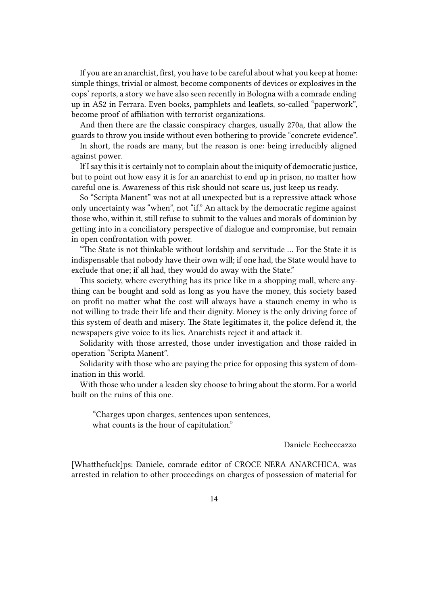If you are an anarchist, first, you have to be careful about what you keep at home: simple things, trivial or almost, become components of devices or explosives in the cops' reports, a story we have also seen recently in Bologna with a comrade ending up in AS2 in Ferrara. Even books, pamphlets and leaflets, so-called "paperwork", become proof of affiliation with terrorist organizations.

And then there are the classic conspiracy charges, usually 270a, that allow the guards to throw you inside without even bothering to provide "concrete evidence".

In short, the roads are many, but the reason is one: being irreducibly aligned against power.

If I say this it is certainly not to complain about the iniquity of democratic justice, but to point out how easy it is for an anarchist to end up in prison, no matter how careful one is. Awareness of this risk should not scare us, just keep us ready.

So "Scripta Manent" was not at all unexpected but is a repressive attack whose only uncertainty was "when", not "if." An attack by the democratic regime against those who, within it, still refuse to submit to the values and morals of dominion by getting into in a conciliatory perspective of dialogue and compromise, but remain in open confrontation with power.

"The State is not thinkable without lordship and servitude … For the State it is indispensable that nobody have their own will; if one had, the State would have to exclude that one; if all had, they would do away with the State."

This society, where everything has its price like in a shopping mall, where anything can be bought and sold as long as you have the money, this society based on profit no matter what the cost will always have a staunch enemy in who is not willing to trade their life and their dignity. Money is the only driving force of this system of death and misery. The State legitimates it, the police defend it, the newspapers give voice to its lies. Anarchists reject it and attack it.

Solidarity with those arrested, those under investigation and those raided in operation "Scripta Manent".

Solidarity with those who are paying the price for opposing this system of domination in this world.

With those who under a leaden sky choose to bring about the storm. For a world built on the ruins of this one.

"Charges upon charges, sentences upon sentences, what counts is the hour of capitulation."

Daniele Eccheccazzo

[Whatthefuck]ps: Daniele, comrade editor of CROCE NERA ANARCHICA, was arrested in relation to other proceedings on charges of possession of material for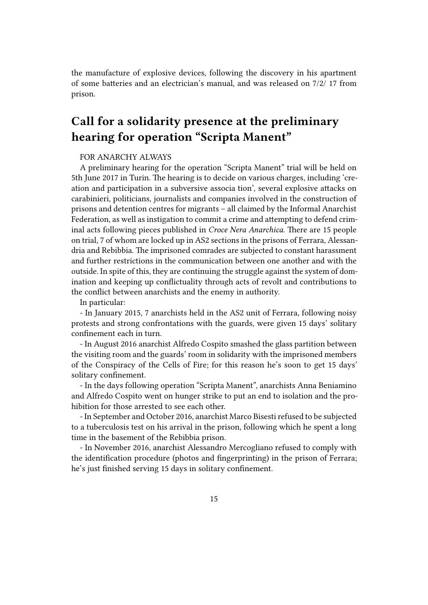the manufacture of explosive devices, following the discovery in his apartment of some batteries and an electrician's manual, and was released on 7/2/ 17 from prison.

# <span id="page-14-0"></span>**Call for a solidarity presence at the preliminary hearing for operation "Scripta Manent"**

#### FOR ANARCHY ALWAYS

A preliminary hearing for the operation "Scripta Manent" trial will be held on 5th June 2017 in Turin. The hearing is to decide on various charges, including 'creation and participation in a subversive associa tion', several explosive attacks on carabinieri, politicians, journalists and companies involved in the construction of prisons and detention centres for migrants – all claimed by the Informal Anarchist Federation, as well as instigation to commit a crime and attempting to defend criminal acts following pieces published in *Croce Nera Anarchica*. There are 15 people on trial, 7 of whom are locked up in AS2 sections in the prisons of Ferrara, Alessandria and Rebibbia. The imprisoned comrades are subjected to constant harassment and further restrictions in the communication between one another and with the outside. In spite of this, they are continuing the struggle against the system of domination and keeping up conflictuality through acts of revolt and contributions to the conflict between anarchists and the enemy in authority.

In particular:

- In January 2015, 7 anarchists held in the AS2 unit of Ferrara, following noisy protests and strong confrontations with the guards, were given 15 days' solitary confinement each in turn.

- In August 2016 anarchist Alfredo Cospito smashed the glass partition between the visiting room and the guards' room in solidarity with the imprisoned members of the Conspiracy of the Cells of Fire; for this reason he's soon to get 15 days' solitary confinement.

- In the days following operation "Scripta Manent", anarchists Anna Beniamino and Alfredo Cospito went on hunger strike to put an end to isolation and the prohibition for those arrested to see each other.

- In September and October 2016, anarchist Marco Bisesti refused to be subjected to a tuberculosis test on his arrival in the prison, following which he spent a long time in the basement of the Rebibbia prison.

- In November 2016, anarchist Alessandro Mercogliano refused to comply with the identification procedure (photos and fingerprinting) in the prison of Ferrara; he's just finished serving 15 days in solitary confinement.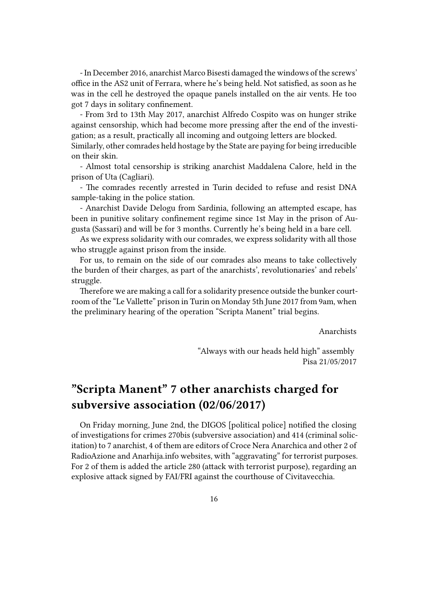- In December 2016, anarchist Marco Bisesti damaged the windows of the screws' office in the AS2 unit of Ferrara, where he's being held. Not satisfied, as soon as he was in the cell he destroyed the opaque panels installed on the air vents. He too got 7 days in solitary confinement.

- From 3rd to 13th May 2017, anarchist Alfredo Cospito was on hunger strike against censorship, which had become more pressing after the end of the investigation; as a result, practically all incoming and outgoing letters are blocked. Similarly, other comrades held hostage by the State are paying for being irreducible

on their skin.

- Almost total censorship is striking anarchist Maddalena Calore, held in the prison of Uta (Cagliari).

- The comrades recently arrested in Turin decided to refuse and resist DNA sample-taking in the police station.

- Anarchist Davide Delogu from Sardinia, following an attempted escape, has been in punitive solitary confinement regime since 1st May in the prison of Augusta (Sassari) and will be for 3 months. Currently he's being held in a bare cell.

As we express solidarity with our comrades, we express solidarity with all those who struggle against prison from the inside.

For us, to remain on the side of our comrades also means to take collectively the burden of their charges, as part of the anarchists', revolutionaries' and rebels' struggle.

Therefore we are making a call for a solidarity presence outside the bunker courtroom of the "Le Vallette" prison in Turin on Monday 5th June 2017 from 9am, when the preliminary hearing of the operation "Scripta Manent" trial begins.

Anarchists

"Always with our heads held high" assembly Pisa 21/05/2017

### <span id="page-15-0"></span>**"Scripta Manent" 7 other anarchists charged for subversive association (02/06/2017)**

On Friday morning, June 2nd, the DIGOS [political police] notified the closing of investigations for crimes 270bis (subversive association) and 414 (criminal solicitation) to 7 anarchist, 4 of them are editors of Croce Nera Anarchica and other 2 of RadioAzione and Anarhija.info websites, with "aggravating" for terrorist purposes. For 2 of them is added the article 280 (attack with terrorist purpose), regarding an explosive attack signed by FAI/FRI against the courthouse of Civitavecchia.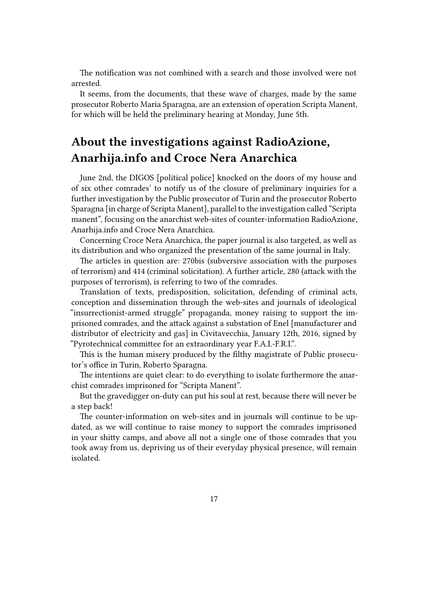The notification was not combined with a search and those involved were not arrested.

It seems, from the documents, that these wave of charges, made by the same prosecutor Roberto Maria Sparagna, are an extension of operation Scripta Manent, for which will be held the preliminary hearing at Monday, June 5th.

### <span id="page-16-0"></span>**About the investigations against RadioAzione, Anarhija.info and Croce Nera Anarchica**

June 2nd, the DIGOS [political police] knocked on the doors of my house and of six other comrades' to notify us of the closure of preliminary inquiries for a further investigation by the Public prosecutor of Turin and the prosecutor Roberto Sparagna [in charge of Scripta Manent], parallel to the investigation called "Scripta manent", focusing on the anarchist web-sites of counter-information RadioAzione, Anarhija.info and Croce Nera Anarchica.

Concerning Croce Nera Anarchica, the paper journal is also targeted, as well as its distribution and who organized the presentation of the same journal in Italy.

The articles in question are: 270bis (subversive association with the purposes of terrorism) and 414 (criminal solicitation). A further article, 280 (attack with the purposes of terrorism), is referring to two of the comrades.

Translation of texts, predisposition, solicitation, defending of criminal acts, conception and dissemination through the web-sites and journals of ideological "insurrectionist-armed struggle" propaganda, money raising to support the imprisoned comrades, and the attack against a substation of Enel [manufacturer and distributor of electricity and gas] in Civitavecchia, January 12th, 2016, signed by "Pyrotechnical committee for an extraordinary year F.A.I.-F.R.I.".

This is the human misery produced by the filthy magistrate of Public prosecutor's office in Turin, Roberto Sparagna.

The intentions are quiet clear: to do everything to isolate furthermore the anarchist comrades imprisoned for "Scripta Manent".

But the gravedigger on-duty can put his soul at rest, because there will never be a step back!

The counter-information on web-sites and in journals will continue to be updated, as we will continue to raise money to support the comrades imprisoned in your shitty camps, and above all not a single one of those comrades that you took away from us, depriving us of their everyday physical presence, will remain isolated.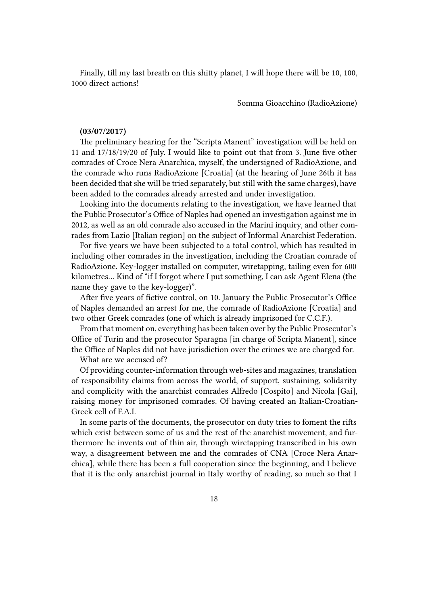Finally, till my last breath on this shitty planet, I will hope there will be 10, 100, 1000 direct actions!

Somma Gioacchino (RadioAzione)

#### **(03/07/2017)**

The preliminary hearing for the "Scripta Manent" investigation will be held on 11 and 17/18/19/20 of July. I would like to point out that from 3. June five other comrades of Croce Nera Anarchica, myself, the undersigned of RadioAzione, and the comrade who runs RadioAzione [Croatia] (at the hearing of June 26th it has been decided that she will be tried separately, but still with the same charges), have been added to the comrades already arrested and under investigation.

Looking into the documents relating to the investigation, we have learned that the Public Prosecutor's Office of Naples had opened an investigation against me in 2012, as well as an old comrade also accused in the Marini inquiry, and other comrades from Lazio [Italian region] on the subject of Informal Anarchist Federation.

For five years we have been subjected to a total control, which has resulted in including other comrades in the investigation, including the Croatian comrade of RadioAzione. Key-logger installed on computer, wiretapping, tailing even for 600 kilometres… Kind of "if I forgot where I put something, I can ask Agent Elena (the name they gave to the key-logger)".

After five years of fictive control, on 10. January the Public Prosecutor's Office of Naples demanded an arrest for me, the comrade of RadioAzione [Croatia] and two other Greek comrades (one of which is already imprisoned for C.C.F.).

From that moment on, everything has been taken over by the Public Prosecutor's Office of Turin and the prosecutor Sparagna [in charge of Scripta Manent], since the Office of Naples did not have jurisdiction over the crimes we are charged for.

What are we accused of?

Of providing counter-information through web-sites and magazines, translation of responsibility claims from across the world, of support, sustaining, solidarity and complicity with the anarchist comrades Alfredo [Cospito] and Nicola [Gai], raising money for imprisoned comrades. Of having created an Italian-Croatian-Greek cell of F.A.I.

In some parts of the documents, the prosecutor on duty tries to foment the rifts which exist between some of us and the rest of the anarchist movement, and furthermore he invents out of thin air, through wiretapping transcribed in his own way, a disagreement between me and the comrades of CNA [Croce Nera Anarchica], while there has been a full cooperation since the beginning, and I believe that it is the only anarchist journal in Italy worthy of reading, so much so that I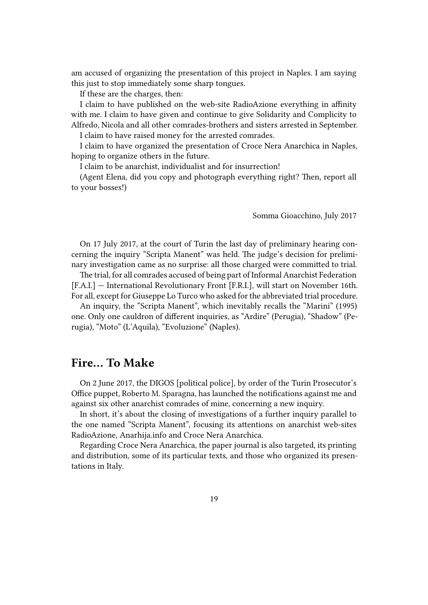am accused of organizing the presentation of this project in Naples. I am saying this just to stop immediately some sharp tongues.

If these are the charges, then:

I claim to have published on the web-site RadioAzione everything in affinity with me. I claim to have given and continue to give Solidarity and Complicity to Alfredo, Nicola and all other comrades-brothers and sisters arrested in September.

I claim to have raised money for the arrested comrades.

I claim to have organized the presentation of Croce Nera Anarchica in Naples, hoping to organize others in the future.

I claim to be anarchist, individualist and for insurrection!

(Agent Elena, did you copy and photograph everything right? Then, report all to your bosses!)

Somma Gioacchino, July 2017

On 17 July 2017, at the court of Turin the last day of preliminary hearing concerning the inquiry "Scripta Manent" was held. The judge's decision for preliminary investigation came as no surprise: all those charged were committed to trial.

The trial, for all comrades accused of being part of Informal Anarchist Federation [F.A.I.] — International Revolutionary Front [F.R.I.], will start on November 16th. For all, except for Giuseppe Lo Turco who asked for the abbreviated trial procedure.

An inquiry, the "Scripta Manent", which inevitably recalls the "Marini" (1995) one. Only one cauldron of different inquiries, as "Ardire" (Perugia), "Shadow" (Perugia), "Moto" (L'Aquila), "Evoluzione" (Naples).

### <span id="page-18-0"></span>**Fire… To Make**

On 2 June 2017, the DIGOS [political police], by order of the Turin Prosecutor's Office puppet, Roberto M. Sparagna, has launched the notifications against me and against six other anarchist comrades of mine, concerning a new inquiry.

In short, it's about the closing of investigations of a further inquiry parallel to the one named "Scripta Manent", focusing its attentions on anarchist web-sites RadioAzione, Anarhija.info and Croce Nera Anarchica.

Regarding Croce Nera Anarchica, the paper journal is also targeted, its printing and distribution, some of its particular texts, and those who organized its presentations in Italy.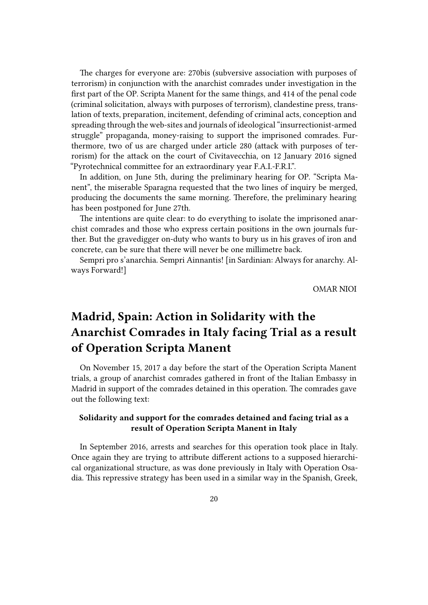The charges for everyone are: 270bis (subversive association with purposes of terrorism) in conjunction with the anarchist comrades under investigation in the first part of the OP. Scripta Manent for the same things, and 414 of the penal code (criminal solicitation, always with purposes of terrorism), clandestine press, translation of texts, preparation, incitement, defending of criminal acts, conception and spreading through the web-sites and journals of ideological "insurrectionist-armed struggle" propaganda, money-raising to support the imprisoned comrades. Furthermore, two of us are charged under article 280 (attack with purposes of terrorism) for the attack on the court of Civitavecchia, on 12 January 2016 signed "Pyrotechnical committee for an extraordinary year F.A.I.-F.R.I.".

In addition, on June 5th, during the preliminary hearing for OP. "Scripta Manent", the miserable Sparagna requested that the two lines of inquiry be merged, producing the documents the same morning. Therefore, the preliminary hearing has been postponed for June 27th.

The intentions are quite clear: to do everything to isolate the imprisoned anarchist comrades and those who express certain positions in the own journals further. But the gravedigger on-duty who wants to bury us in his graves of iron and concrete, can be sure that there will never be one millimetre back.

Sempri pro s'anarchia. Sempri Ainnantis! [in Sardinian: Always for anarchy. Always Forward!]

OMAR NIOI

# <span id="page-19-0"></span>**Madrid, Spain: Action in Solidarity with the Anarchist Comrades in Italy facing Trial as a result of Operation Scripta Manent**

On November 15, 2017 a day before the start of the Operation Scripta Manent trials, a group of anarchist comrades gathered in front of the Italian Embassy in Madrid in support of the comrades detained in this operation. The comrades gave out the following text:

#### **Solidarity and support for the comrades detained and facing trial as a result of Operation Scripta Manent in Italy**

In September 2016, arrests and searches for this operation took place in Italy. Once again they are trying to attribute different actions to a supposed hierarchical organizational structure, as was done previously in Italy with Operation Osadia. This repressive strategy has been used in a similar way in the Spanish, Greek,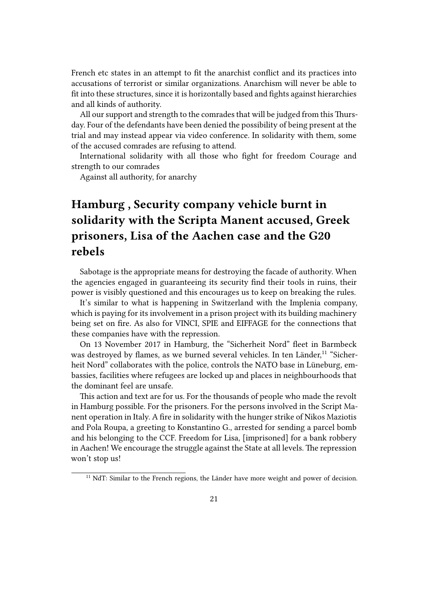French etc states in an attempt to fit the anarchist conflict and its practices into accusations of terrorist or similar organizations. Anarchism will never be able to fit into these structures, since it is horizontally based and fights against hierarchies and all kinds of authority.

All our support and strength to the comrades that will be judged from this Thursday. Four of the defendants have been denied the possibility of being present at the trial and may instead appear via video conference. In solidarity with them, some of the accused comrades are refusing to attend.

International solidarity with all those who fight for freedom Courage and strength to our comrades

Against all authority, for anarchy

# <span id="page-20-0"></span>**Hamburg , Security company vehicle burnt in solidarity with the Scripta Manent accused, Greek prisoners, Lisa of the Aachen case and the G20 rebels**

Sabotage is the appropriate means for destroying the facade of authority. When the agencies engaged in guaranteeing its security find their tools in ruins, their power is visibly questioned and this encourages us to keep on breaking the rules.

It's similar to what is happening in Switzerland with the Implenia company, which is paying for its involvement in a prison project with its building machinery being set on fire. As also for VINCI, SPIE and EIFFAGE for the connections that these companies have with the repression.

On 13 November 2017 in Hamburg, the "Sicherheit Nord" fleet in Barmbeck was destroyed by flames, as we burned several vehicles. In ten Länder,<sup>11</sup> "Sicherheit Nord" collaborates with the police, controls the NATO base in Lüneburg, embassies, facilities where refugees are locked up and places in neighbourhoods that the dominant feel are unsafe.

This action and text are for us. For the thousands of people who made the revolt in Hamburg possible. For the prisoners. For the persons involved in the Script Manent operation in Italy. A fire in solidarity with the hunger strike of Nikos Maziotis and Pola Roupa, a greeting to Konstantino G., arrested for sending a parcel bomb and his belonging to the CCF. Freedom for Lisa, [imprisoned] for a bank robbery in Aachen! We encourage the struggle against the State at all levels. The repression won't stop us!

<sup>&</sup>lt;sup>11</sup> NdT: Similar to the French regions, the Länder have more weight and power of decision.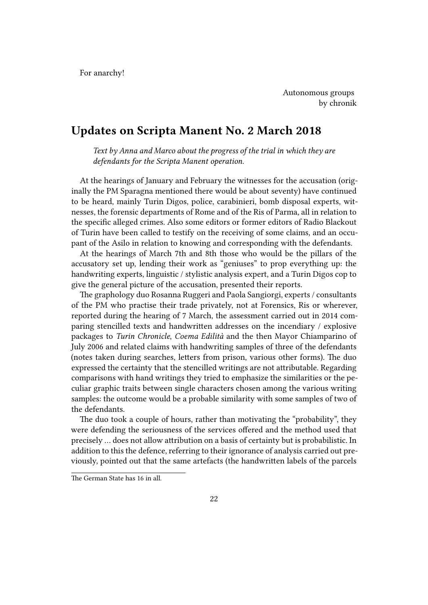For anarchy!

Autonomous groups by chronik

### <span id="page-21-0"></span>**Updates on Scripta Manent No. 2 March 2018**

*Text by Anna and Marco about the progress of the trial in which they are defendants for the Scripta Manent operation.*

At the hearings of January and February the witnesses for the accusation (originally the PM Sparagna mentioned there would be about seventy) have continued to be heard, mainly Turin Digos, police, carabinieri, bomb disposal experts, witnesses, the forensic departments of Rome and of the Ris of Parma, all in relation to the specific alleged crimes. Also some editors or former editors of Radio Blackout of Turin have been called to testify on the receiving of some claims, and an occupant of the Asilo in relation to knowing and corresponding with the defendants.

At the hearings of March 7th and 8th those who would be the pillars of the accusatory set up, lending their work as "geniuses" to prop everything up: the handwriting experts, linguistic / stylistic analysis expert, and a Turin Digos cop to give the general picture of the accusation, presented their reports.

The graphology duo Rosanna Ruggeri and Paola Sangiorgi, experts / consultants of the PM who practise their trade privately, not at Forensics, Ris or wherever, reported during the hearing of 7 March, the assessment carried out in 2014 comparing stencilled texts and handwritten addresses on the incendiary / explosive packages to *Turin Chronicle*, *Coema Edilità* and the then Mayor Chiamparino of July 2006 and related claims with handwriting samples of three of the defendants (notes taken during searches, letters from prison, various other forms). The duo expressed the certainty that the stencilled writings are not attributable. Regarding comparisons with hand writings they tried to emphasize the similarities or the peculiar graphic traits between single characters chosen among the various writing samples: the outcome would be a probable similarity with some samples of two of the defendants.

The duo took a couple of hours, rather than motivating the "probability", they were defending the seriousness of the services offered and the method used that precisely … does not allow attribution on a basis of certainty but is probabilistic. In addition to this the defence, referring to their ignorance of analysis carried out previously, pointed out that the same artefacts (the handwritten labels of the parcels

The German State has 16 in all.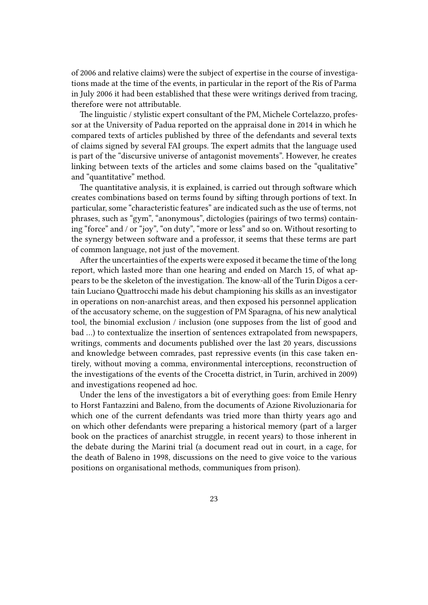of 2006 and relative claims) were the subject of expertise in the course of investigations made at the time of the events, in particular in the report of the Ris of Parma in July 2006 it had been established that these were writings derived from tracing, therefore were not attributable.

The linguistic / stylistic expert consultant of the PM, Michele Cortelazzo, professor at the University of Padua reported on the appraisal done in 2014 in which he compared texts of articles published by three of the defendants and several texts of claims signed by several FAI groups. The expert admits that the language used is part of the "discursive universe of antagonist movements". However, he creates linking between texts of the articles and some claims based on the "qualitative" and "quantitative" method.

The quantitative analysis, it is explained, is carried out through software which creates combinations based on terms found by sifting through portions of text. In particular, some "characteristic features" are indicated such as the use of terms, not phrases, such as "gym", "anonymous", dictologies (pairings of two terms) containing "force" and / or "joy", "on duty", "more or less" and so on. Without resorting to the synergy between software and a professor, it seems that these terms are part of common language, not just of the movement.

After the uncertainties of the experts were exposed it became the time of the long report, which lasted more than one hearing and ended on March 15, of what appears to be the skeleton of the investigation. The know-all of the Turin Digos a certain Luciano Quattrocchi made his debut championing his skills as an investigator in operations on non-anarchist areas, and then exposed his personnel application of the accusatory scheme, on the suggestion of PM Sparagna, of his new analytical tool, the binomial exclusion / inclusion (one supposes from the list of good and bad …) to contextualize the insertion of sentences extrapolated from newspapers, writings, comments and documents published over the last 20 years, discussions and knowledge between comrades, past repressive events (in this case taken entirely, without moving a comma, environmental interceptions, reconstruction of the investigations of the events of the Crocetta district, in Turin, archived in 2009) and investigations reopened ad hoc.

Under the lens of the investigators a bit of everything goes: from Emile Henry to Horst Fantazzini and Baleno, from the documents of Azione Rivoluzionaria for which one of the current defendants was tried more than thirty years ago and on which other defendants were preparing a historical memory (part of a larger book on the practices of anarchist struggle, in recent years) to those inherent in the debate during the Marini trial (a document read out in court, in a cage, for the death of Baleno in 1998, discussions on the need to give voice to the various positions on organisational methods, communiques from prison).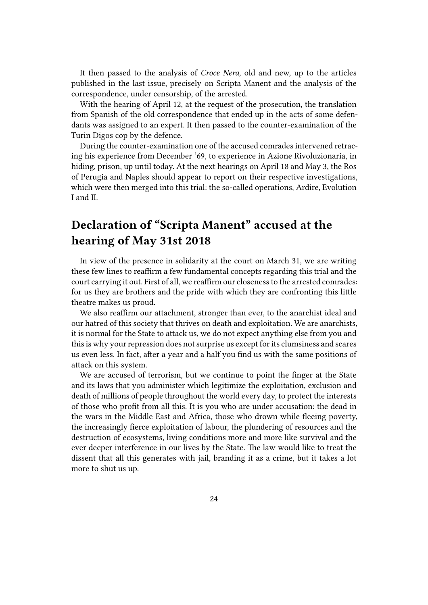It then passed to the analysis of *Croce Nera*, old and new, up to the articles published in the last issue, precisely on Scripta Manent and the analysis of the correspondence, under censorship, of the arrested.

With the hearing of April 12, at the request of the prosecution, the translation from Spanish of the old correspondence that ended up in the acts of some defendants was assigned to an expert. It then passed to the counter-examination of the Turin Digos cop by the defence.

During the counter-examination one of the accused comrades intervened retracing his experience from December '69, to experience in Azione Rivoluzionaria, in hiding, prison, up until today. At the next hearings on April 18 and May 3, the Ros of Perugia and Naples should appear to report on their respective investigations, which were then merged into this trial: the so-called operations, Ardire, Evolution I and II.

## <span id="page-23-0"></span>**Declaration of "Scripta Manent" accused at the hearing of May 31st 2018**

In view of the presence in solidarity at the court on March 31, we are writing these few lines to reaffirm a few fundamental concepts regarding this trial and the court carrying it out. First of all, we reaffirm our closeness to the arrested comrades: for us they are brothers and the pride with which they are confronting this little theatre makes us proud.

We also reaffirm our attachment, stronger than ever, to the anarchist ideal and our hatred of this society that thrives on death and exploitation. We are anarchists, it is normal for the State to attack us, we do not expect anything else from you and this is why your repression does not surprise us except for its clumsiness and scares us even less. In fact, after a year and a half you find us with the same positions of attack on this system.

We are accused of terrorism, but we continue to point the finger at the State and its laws that you administer which legitimize the exploitation, exclusion and death of millions of people throughout the world every day, to protect the interests of those who profit from all this. It is you who are under accusation: the dead in the wars in the Middle East and Africa, those who drown while fleeing poverty, the increasingly fierce exploitation of labour, the plundering of resources and the destruction of ecosystems, living conditions more and more like survival and the ever deeper interference in our lives by the State. The law would like to treat the dissent that all this generates with jail, branding it as a crime, but it takes a lot more to shut us up.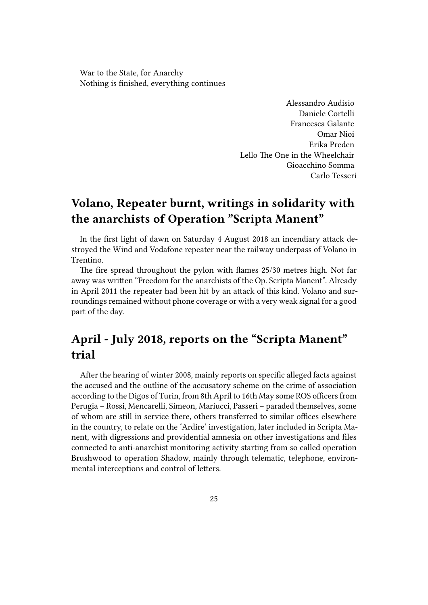War to the State, for Anarchy Nothing is finished, everything continues

> Alessandro Audisio Daniele Cortelli Francesca Galante Omar Nioi Erika Preden Lello The One in the Wheelchair Gioacchino Somma Carlo Tesseri

### <span id="page-24-0"></span>**Volano, Repeater burnt, writings in solidarity with the anarchists of Operation "Scripta Manent"**

In the first light of dawn on Saturday 4 August 2018 an incendiary attack destroyed the Wind and Vodafone repeater near the railway underpass of Volano in Trentino.

The fire spread throughout the pylon with flames 25/30 metres high. Not far away was written "Freedom for the anarchists of the Op. Scripta Manent". Already in April 2011 the repeater had been hit by an attack of this kind. Volano and surroundings remained without phone coverage or with a very weak signal for a good part of the day.

### <span id="page-24-1"></span>**April - July 2018, reports on the "Scripta Manent" trial**

After the hearing of winter 2008, mainly reports on specific alleged facts against the accused and the outline of the accusatory scheme on the crime of association according to the Digos of Turin, from 8th April to 16th May some ROS officers from Perugia – Rossi, Mencarelli, Simeon, Mariucci, Passeri – paraded themselves, some of whom are still in service there, others transferred to similar offices elsewhere in the country, to relate on the 'Ardire' investigation, later included in Scripta Manent, with digressions and providential amnesia on other investigations and files connected to anti-anarchist monitoring activity starting from so called operation Brushwood to operation Shadow, mainly through telematic, telephone, environmental interceptions and control of letters.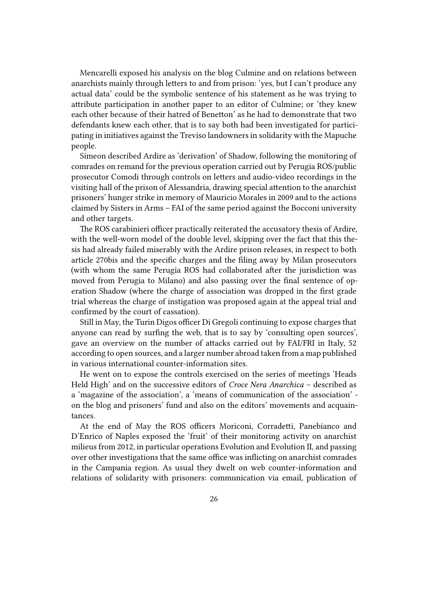Mencarelli exposed his analysis on the blog Culmine and on relations between anarchists mainly through letters to and from prison: 'yes, but I can't produce any actual data' could be the symbolic sentence of his statement as he was trying to attribute participation in another paper to an editor of Culmine; or 'they knew each other because of their hatred of Benetton' as he had to demonstrate that two defendants knew each other, that is to say both had been investigated for participating in initiatives against the Treviso landowners in solidarity with the Mapuche people.

Simeon described Ardire as 'derivation' of Shadow, following the monitoring of comrades on remand for the previous operation carried out by Perugia ROS/public prosecutor Comodi through controls on letters and audio-video recordings in the visiting hall of the prison of Alessandria, drawing special attention to the anarchist prisoners' hunger strike in memory of Mauricio Morales in 2009 and to the actions claimed by Sisters in Arms – FAI of the same period against the Bocconi university and other targets.

The ROS carabinieri officer practically reiterated the accusatory thesis of Ardire, with the well-worn model of the double level, skipping over the fact that this thesis had already failed miserably with the Ardire prison releases, in respect to both article 270bis and the specific charges and the filing away by Milan prosecutors (with whom the same Perugia ROS had collaborated after the jurisdiction was moved from Perugia to Milano) and also passing over the final sentence of operation Shadow (where the charge of association was dropped in the first grade trial whereas the charge of instigation was proposed again at the appeal trial and confirmed by the court of cassation).

Still in May, the Turin Digos officer Di Gregoli continuing to expose charges that anyone can read by surfing the web, that is to say by 'consulting open sources', gave an overview on the number of attacks carried out by FAI/FRI in Italy, 52 according to open sources, and a larger number abroad taken from a map published in various international counter-information sites.

He went on to expose the controls exercised on the series of meetings 'Heads Held High' and on the successive editors of *Croce Nera Anarchica* – described as a 'magazine of the association', a 'means of communication of the association' on the blog and prisoners' fund and also on the editors' movements and acquaintances.

At the end of May the ROS officers Moriconi, Corradetti, Panebianco and D'Enrico of Naples exposed the 'fruit' of their monitoring activity on anarchist milieus from 2012, in particular operations Evolution and Evolution II, and passing over other investigations that the same office was inflicting on anarchist comrades in the Campania region. As usual they dwelt on web counter-information and relations of solidarity with prisoners: communication via email, publication of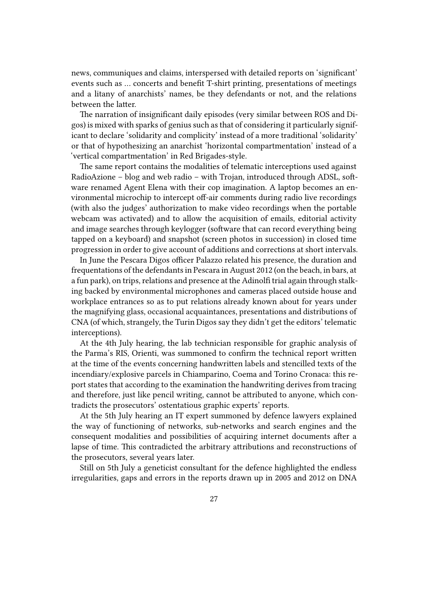news, communiques and claims, interspersed with detailed reports on 'significant' events such as … concerts and benefit T-shirt printing, presentations of meetings and a litany of anarchists' names, be they defendants or not, and the relations between the latter.

The narration of insignificant daily episodes (very similar between ROS and Digos) is mixed with sparks of genius such as that of considering it particularly significant to declare 'solidarity and complicity' instead of a more traditional 'solidarity' or that of hypothesizing an anarchist 'horizontal compartmentation' instead of a 'vertical compartmentation' in Red Brigades-style.

The same report contains the modalities of telematic interceptions used against RadioAzione – blog and web radio – with Trojan, introduced through ADSL, software renamed Agent Elena with their cop imagination. A laptop becomes an environmental microchip to intercept off-air comments during radio live recordings (with also the judges' authorization to make video recordings when the portable webcam was activated) and to allow the acquisition of emails, editorial activity and image searches through keylogger (software that can record everything being tapped on a keyboard) and snapshot (screen photos in succession) in closed time progression in order to give account of additions and corrections at short intervals.

In June the Pescara Digos officer Palazzo related his presence, the duration and frequentations of the defendants in Pescara in August 2012 (on the beach, in bars, at a fun park), on trips, relations and presence at the Adinolfi trial again through stalking backed by environmental microphones and cameras placed outside house and workplace entrances so as to put relations already known about for years under the magnifying glass, occasional acquaintances, presentations and distributions of CNA (of which, strangely, the Turin Digos say they didn't get the editors' telematic interceptions).

At the 4th July hearing, the lab technician responsible for graphic analysis of the Parma's RIS, Orienti, was summoned to confirm the technical report written at the time of the events concerning handwritten labels and stencilled texts of the incendiary/explosive parcels in Chiamparino, Coema and Torino Cronaca: this report states that according to the examination the handwriting derives from tracing and therefore, just like pencil writing, cannot be attributed to anyone, which contradicts the prosecutors' ostentatious graphic experts' reports.

At the 5th July hearing an IT expert summoned by defence lawyers explained the way of functioning of networks, sub-networks and search engines and the consequent modalities and possibilities of acquiring internet documents after a lapse of time. This contradicted the arbitrary attributions and reconstructions of the prosecutors, several years later.

Still on 5th July a geneticist consultant for the defence highlighted the endless irregularities, gaps and errors in the reports drawn up in 2005 and 2012 on DNA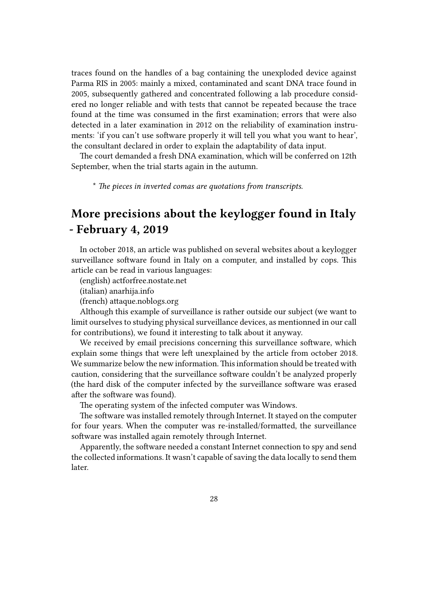traces found on the handles of a bag containing the unexploded device against Parma RIS in 2005: mainly a mixed, contaminated and scant DNA trace found in 2005, subsequently gathered and concentrated following a lab procedure considered no longer reliable and with tests that cannot be repeated because the trace found at the time was consumed in the first examination; errors that were also detected in a later examination in 2012 on the reliability of examination instruments: 'if you can't use software properly it will tell you what you want to hear', the consultant declared in order to explain the adaptability of data input.

The court demanded a fresh DNA examination, which will be conferred on 12th September, when the trial starts again in the autumn.

\* *The pieces in inverted comas are quotations from transcripts.*

# **More precisions about the keylogger found in Italy - February 4, 2019**

In october 2018, an article was published on several websites about a keylogger surveillance software found in Italy on a computer, and installed by cops. This article can be read in various languages:

(english) actforfree.nostate.net

(italian) anarhija.info

(french) attaque.noblogs.org

Althoug[h this example of surve](https://actforfree.nostate.net/?p=31644)illance is rather outside our subject (we want to limit ourse[lves to studyi](https://anarhija.info/library/radioazione-italia-alcune-precisazioni-%20riguardo-al-key-logger-installato-sul-mio-computer-it)ng physical surveillance devices, as mentionned in our call for contrib[utions\), we found it](https://attaque.noblogs.org/post/2018/10/11/operation-scripta-%20manent-quelques-precisions-au-sujet-du-keylogger-installe-sur-mon-%20ordinateur/) interesting to talk about it anyway.

We received by email precisions concerning this surveillance software, which explain some things that were left unexplained by the article from october 2018. We summarize below the new information.This information should be treated with caution, considering that the surveillance software couldn't be analyzed properly (the hard disk of the computer infected by the surveillance software was erased after the software was found).

The operating system of the infected computer was Windows.

The software was installed remotely through Internet. It stayed on the computer for four years. When the computer was re-installed/formatted, the surveillance software was installed again remotely through Internet.

Apparently, the software needed a constant Internet connection to spy and send the collected informations. It wasn't capable of saving the data locally to send them later.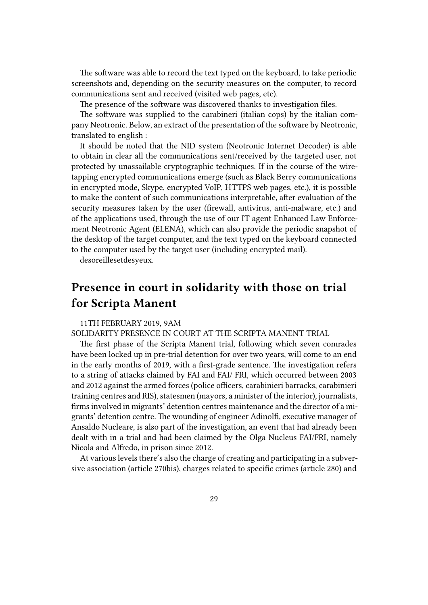The software was able to record the text typed on the keyboard, to take periodic screenshots and, depending on the security measures on the computer, to record communications sent and received (visited web pages, etc).

The presence of the software was discovered thanks to investigation files.

The software was supplied to the carabineri (italian cops) by the italian company Neotronic. Below, an extract of the presentation of the software by Neotronic, translated to english :

It should be noted that the NID system (Neotronic Internet Decoder) is able to obtain in clear all the communications sent/received by the targeted user, not protected by unassailable cryptographic techniques. If in the course of the wiretapping encrypted communications emerge (such as Black Berry communications in encrypted mode, Skype, encrypted VoIP, HTTPS web pages, etc.), it is possible to make the content of such communications interpretable, after evaluation of the security measures taken by the user (firewall, antivirus, anti-malware, etc.) and of the applications used, through the use of our IT agent Enhanced Law Enforcement Neotronic Agent (ELENA), which can also provide the periodic snapshot of the desktop of the target computer, and the text typed on the keyboard connected to the computer used by the target user (including encrypted mail).

desoreillesetdesyeux.

### <span id="page-28-0"></span>**Presence in court in solidarity with those on trial for Scripta Manent**

#### 11TH FEBRUARY 2019, 9AM

#### SOLIDARITY PRESENCE IN COURT AT THE SCRIPTA MANENT TRIAL

The first phase of the Scripta Manent trial, following which seven comrades have been locked up in pre-trial detention for over two years, will come to an end in the early months of 2019, with a first-grade sentence. The investigation refers to a string of attacks claimed by FAI and FAI/ FRI, which occurred between 2003 and 2012 against the armed forces (police officers, carabinieri barracks, carabinieri training centres and RIS), statesmen (mayors, a minister of the interior), journalists, firms involved in migrants' detention centres maintenance and the director of a migrants' detention centre. The wounding of engineer Adinolfi, executive manager of Ansaldo Nucleare, is also part of the investigation, an event that had already been dealt with in a trial and had been claimed by the Olga Nucleus FAI/FRI, namely Nicola and Alfredo, in prison since 2012.

At various levels there's also the charge of creating and participating in a subversive association (article 270bis), charges related to specific crimes (article 280) and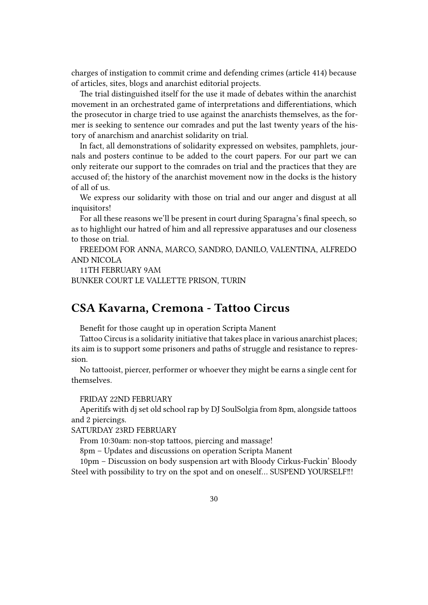charges of instigation to commit crime and defending crimes (article 414) because of articles, sites, blogs and anarchist editorial projects.

The trial distinguished itself for the use it made of debates within the anarchist movement in an orchestrated game of interpretations and differentiations, which the prosecutor in charge tried to use against the anarchists themselves, as the former is seeking to sentence our comrades and put the last twenty years of the history of anarchism and anarchist solidarity on trial.

In fact, all demonstrations of solidarity expressed on websites, pamphlets, journals and posters continue to be added to the court papers. For our part we can only reiterate our support to the comrades on trial and the practices that they are accused of; the history of the anarchist movement now in the docks is the history of all of us.

We express our solidarity with those on trial and our anger and disgust at all inquisitors!

For all these reasons we'll be present in court during Sparagna's final speech, so as to highlight our hatred of him and all repressive apparatuses and our closeness to those on trial.

FREEDOM FOR ANNA, MARCO, SANDRO, DANILO, VALENTINA, ALFREDO AND NICOLA

11TH FEBRUARY 9AM

BUNKER COURT LE VALLETTE PRISON, TURIN

### <span id="page-29-0"></span>**CSA Kavarna, Cremona - Tattoo Circus**

Benefit for those caught up in operation Scripta Manent

Tattoo Circus is a solidarity initiative that takes place in various anarchist places; its aim is to support some prisoners and paths of struggle and resistance to repression.

No tattooist, piercer, performer or whoever they might be earns a single cent for themselves.

#### FRIDAY 22ND FEBRUARY

Aperitifs with dj set old school rap by DJ SoulSolgia from 8pm, alongside tattoos and 2 piercings.

SATURDAY 23RD FEBRUARY

From 10:30am: non-stop tattoos, piercing and massage!

8pm – Updates and discussions on operation Scripta Manent

10pm – Discussion on body suspension art with Bloody Cirkus-Fuckin' Bloody Steel with possibility to try on the spot and on oneself… SUSPEND YOURSELF‼!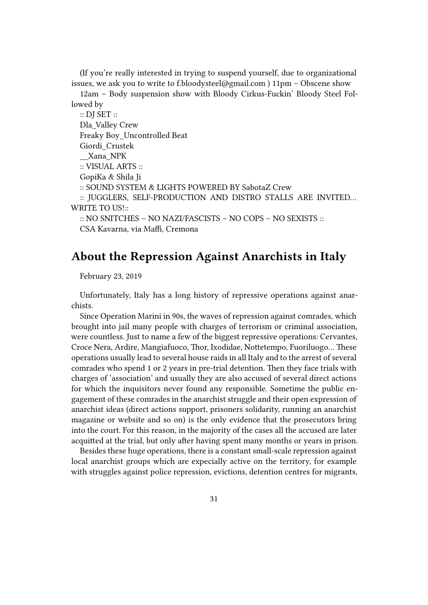(If you're really interested in trying to suspend yourself, due to organizational issues, we ask you to write to f.bloodysteel@gmail.com ) 11pm – Obscene show

12am – Body suspension show with Bloody Cirkus-Fuckin' Bloody Steel Followed by

:: DJ SET :: Dla\_Valley Crew Freaky Boy\_Uncontrolled Beat Giordi\_Crustek \_\_Xana\_NPK :: VISUAL ARTS :: GopiKa & Shila Ji :: SOUND SYSTEM & LIGHTS POWERED BY SabotaZ Crew :: JUGGLERS, SELF-PRODUCTION AND DISTRO STALLS ARE INVITED… WRITE TO US!:: :: NO SNITCHES – NO NAZI/FASCISTS – NO COPS – NO SEXISTS :: CSA Kavarna, via Maffi, Cremona

# <span id="page-30-0"></span>**About the Repression Against Anarchists in Italy**

February 23, 2019

Unfortunately, Italy has a long history of repressive operations against anarchists.

Since Operation Marini in 90s, the waves of repression against comrades, which brought into jail many people with charges of terrorism or criminal association, were countless. Just to name a few of the biggest repressive operations: Cervantes, Croce Nera, Ardire, Mangiafuoco, Thor, Ixodidae, Nottetempo, Fuoriluogo… These operations usually lead to several house raids in all Italy and to the arrest of several comrades who spend 1 or 2 years in pre-trial detention. Then they face trials with charges of 'association' and usually they are also accused of several direct actions for which the inquisitors never found any responsible. Sometime the public engagement of these comrades in the anarchist struggle and their open expression of anarchist ideas (direct actions support, prisoners solidarity, running an anarchist magazine or website and so on) is the only evidence that the prosecutors bring into the court. For this reason, in the majority of the cases all the accused are later acquitted at the trial, but only after having spent many months or years in prison.

Besides these huge operations, there is a constant small-scale repression against local anarchist groups which are expecially active on the territory, for example with struggles against police repression, evictions, detention centres for migrants,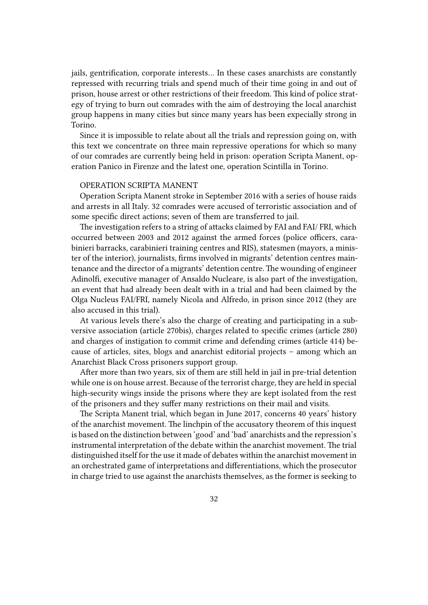jails, gentrification, corporate interests… In these cases anarchists are constantly repressed with recurring trials and spend much of their time going in and out of prison, house arrest or other restrictions of their freedom. This kind of police strategy of trying to burn out comrades with the aim of destroying the local anarchist group happens in many cities but since many years has been expecially strong in Torino.

Since it is impossible to relate about all the trials and repression going on, with this text we concentrate on three main repressive operations for which so many of our comrades are currently being held in prison: operation Scripta Manent, operation Panico in Firenze and the latest one, operation Scintilla in Torino.

#### OPERATION SCRIPTA MANENT

Operation Scripta Manent stroke in September 2016 with a series of house raids and arrests in all Italy. 32 comrades were accused of terroristic association and of some specific direct actions; seven of them are transferred to jail.

The investigation refers to a string of attacks claimed by FAI and FAI/ FRI, which occurred between 2003 and 2012 against the armed forces (police officers, carabinieri barracks, carabinieri training centres and RIS), statesmen (mayors, a minister of the interior), journalists, firms involved in migrants' detention centres maintenance and the director of a migrants' detention centre. The wounding of engineer Adinolfi, executive manager of Ansaldo Nucleare, is also part of the investigation, an event that had already been dealt with in a trial and had been claimed by the Olga Nucleus FAI/FRI, namely Nicola and Alfredo, in prison since 2012 (they are also accused in this trial).

At various levels there's also the charge of creating and participating in a subversive association (article 270bis), charges related to specific crimes (article 280) and charges of instigation to commit crime and defending crimes (article 414) because of articles, sites, blogs and anarchist editorial projects – among which an Anarchist Black Cross prisoners support group.

After more than two years, six of them are still held in jail in pre-trial detention while one is on house arrest. Because of the terrorist charge, they are held in special high-security wings inside the prisons where they are kept isolated from the rest of the prisoners and they suffer many restrictions on their mail and visits.

The Scripta Manent trial, which began in June 2017, concerns 40 years' history of the anarchist movement. The linchpin of the accusatory theorem of this inquest is based on the distinction between 'good' and 'bad' anarchists and the repression's instrumental interpretation of the debate within the anarchist movement. The trial distinguished itself for the use it made of debates within the anarchist movement in an orchestrated game of interpretations and differentiations, which the prosecutor in charge tried to use against the anarchists themselves, as the former is seeking to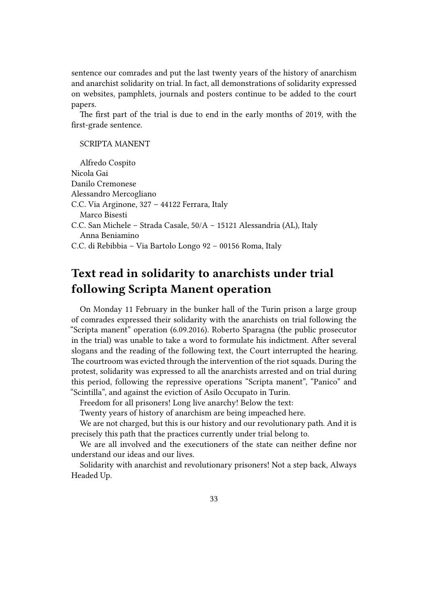sentence our comrades and put the last twenty years of the history of anarchism and anarchist solidarity on trial. In fact, all demonstrations of solidarity expressed on websites, pamphlets, journals and posters continue to be added to the court papers.

The first part of the trial is due to end in the early months of 2019, with the first-grade sentence.

#### SCRIPTA MANENT

Alfredo Cospito Nicola Gai Danilo Cremonese Alessandro Mercogliano C.C. Via Arginone, 327 – 44122 Ferrara, Italy Marco Bisesti C.C. San Michele – Strada Casale, 50/A – 15121 Alessandria (AL), Italy Anna Beniamino C.C. di Rebibbia – Via Bartolo Longo 92 – 00156 Roma, Italy

### <span id="page-32-0"></span>**Text read in solidarity to anarchists under trial following Scripta Manent operation**

On Monday 11 February in the bunker hall of the Turin prison a large group of comrades expressed their solidarity with the anarchists on trial following the "Scripta manent" operation (6.09.2016). Roberto Sparagna (the public prosecutor in the trial) was unable to take a word to formulate his indictment. After several slogans and the reading of the following text, the Court interrupted the hearing. The courtroom was evicted through the intervention of the riot squads. During the protest, solidarity was expressed to all the anarchists arrested and on trial during this period, following the repressive operations "Scripta manent", "Panico" and "Scintilla", and against the eviction of Asilo Occupato in Turin.

Freedom for all prisoners! Long live anarchy! Below the text:

Twenty years of history of anarchism are being impeached here.

We are not charged, but this is our history and our revolutionary path. And it is precisely this path that the practices currently under trial belong to.

We are all involved and the executioners of the state can neither define nor understand our ideas and our lives.

Solidarity with anarchist and revolutionary prisoners! Not a step back, Always Headed Up.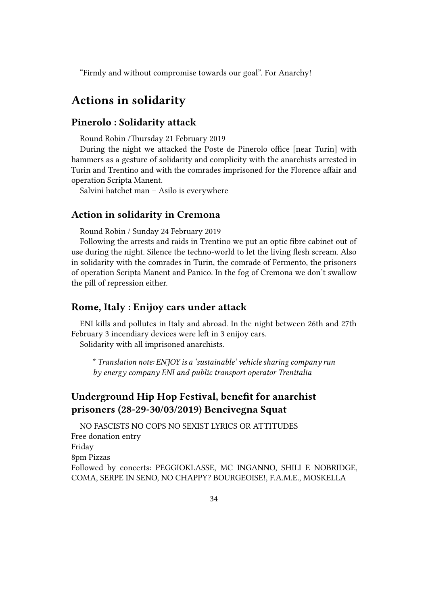"Firmly and without compromise towards our goal". For Anarchy!

### <span id="page-33-0"></span>**Actions in solidarity**

#### <span id="page-33-1"></span>**Pinerolo : Solidarity attack**

Round Robin /Thursday 21 February 2019

During the night we attacked the Poste de Pinerolo office [near Turin] with hammers as a gesture of solidarity and complicity with the anarchists arrested in Turin and Trentino and with the comrades imprisoned for the Florence affair and operation Scripta Manent.

Salvini hatchet man – Asilo is everywhere

#### <span id="page-33-2"></span>**Action in solidarity in Cremona**

Round Robin / Sunday 24 February 2019

Following the arrests and raids in Trentino we put an optic fibre cabinet out of use during the night. Silence the techno-world to let the living flesh scream. Also in solidarity with the comrades in Turin, the comrade of Fermento, the prisoners of operation Scripta Manent and Panico. In the fog of Cremona we don't swallow the pill of repression either.

#### <span id="page-33-3"></span>**Rome, Italy : Enijoy cars under attack**

ENI kills and pollutes in Italy and abroad. In the night between 26th and 27th February 3 incendiary devices were left in 3 enijoy cars. Solidarity with all imprisoned anarchists.

\* *Translation note: ENJOY is a 'sustainable' vehicle sharing company run by energy company ENI and public transport operator Trenitalia*

### <span id="page-33-4"></span>**Underground Hip Hop Festival, benefit for anarchist prisoners (28-29-30/03/2019) Bencivegna Squat**

NO FASCISTS NO COPS NO SEXIST LYRICS OR ATTITUDES Free donation entry Friday 8pm Pizzas Followed by concerts: PEGGIOKLASSE, MC INGANNO, SHILI E NOBRIDGE, COMA, SERPE IN SENO, NO CHAPPY? BOURGEOISE!, F.A.M.E., MOSKELLA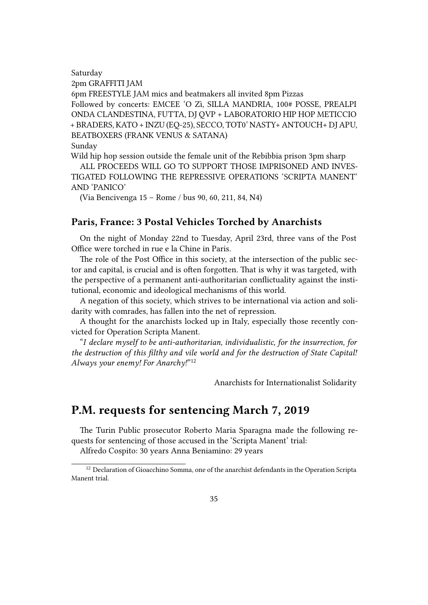Saturday

2pm GRAFFITI JAM

6pm FREESTYLE JAM mics and beatmakers all invited 8pm Pizzas Followed by concerts: EMCEE 'O Zì, SILLA MANDRIA, 100# POSSE, PREALPI ONDA CLANDESTINA, FUTTA, DJ QVP + LABORATORIO HIP HOP METICCIO + BRADERS, KATO + INZU (EQ-25), SECCO, TOT0' NASTY+ ANTOUCH+ DJ APU, BEATBOXERS (FRANK VENUS & SATANA)

Sunday

Wild hip hop session outside the female unit of the Rebibbia prison 3pm sharp

ALL PROCEEDS WILL GO TO SUPPORT THOSE IMPRISONED AND INVES-TIGATED FOLLOWING THE REPRESSIVE OPERATIONS 'SCRIPTA MANENT' AND 'PANICO'

(Via Bencivenga 15 – Rome / bus 90, 60, 211, 84, N4)

#### <span id="page-34-0"></span>**Paris, France: 3 Postal Vehicles Torched by Anarchists**

On the night of Monday 22nd to Tuesday, April 23rd, three vans of the Post Office were torched in rue e la Chine in Paris.

The role of the Post Office in this society, at the intersection of the public sector and capital, is crucial and is often forgotten. That is why it was targeted, with the perspective of a permanent anti-authoritarian conflictuality against the institutional, economic and ideological mechanisms of this world.

A negation of this society, which strives to be international via action and solidarity with comrades, has fallen into the net of repression.

A thought for the anarchists locked up in Italy, especially those recently convicted for Operation Scripta Manent.

"*I declare myself to be anti-authoritarian, individualistic, for the insurrection, for the destruction of this filthy and vile world and for the destruction of State Capital! Always your enemy! For Anarchy!*" 12

Anarchists for Internationalist Solidarity

### <span id="page-34-1"></span>**P.M. requests for sentencing March 7, 2019**

The Turin Public prosecutor Roberto Maria Sparagna made the following requests for sentencing of those accused in the 'Scripta Manent' trial:

Alfredo Cospito: 30 years Anna Beniamino: 29 years

<sup>&</sup>lt;sup>12</sup> Declaration of Gioacchino Somma, one of the anarchist defendants in the Operation Scripta Manent trial.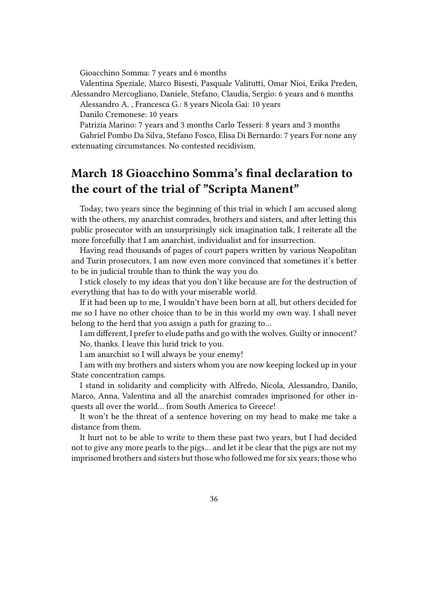Gioacchino Somma: 7 years and 6 months

Valentina Speziale, Marco Bisesti, Pasquale Valitutti, Omar Nioi, Erika Preden, Alessandro Mercogliano, Daniele, Stefano, Claudia, Sergio: 6 years and 6 months

Alessandro A. , Francesca G.: 8 years Nicola Gai: 10 years

Danilo Cremonese: 10 years

Patrizia Marino: 7 years and 3 months Carlo Tesseri: 8 years and 3 months Gabriel Pombo Da Silva, Stefano Fosco, Elisa Di Bernardo: 7 years For none any extenuating circumstances. No contested recidivism.

### <span id="page-35-0"></span>**March 18 Gioacchino Somma's final declaration to the court of the trial of "Scripta Manent"**

Today, two years since the beginning of this trial in which I am accused along with the others, my anarchist comrades, brothers and sisters, and after letting this public prosecutor with an unsurprisingly sick imagination talk, I reiterate all the more forcefully that I am anarchist, individualist and for insurrection.

Having read thousands of pages of court papers written by various Neapolitan and Turin prosecutors, I am now even more convinced that sometimes it's better to be in judicial trouble than to think the way you do.

I stick closely to my ideas that you don't like because are for the destruction of everything that has to do with your miserable world.

If it had been up to me, I wouldn't have been born at all, but others decided for me so I have no other choice than to be in this world my own way. I shall never belong to the herd that you assign a path for grazing to…

I am different, I prefer to elude paths and go with the wolves. Guilty or innocent? No, thanks. I leave this lurid trick to you.

I am anarchist so I will always be your enemy!

I am with my brothers and sisters whom you are now keeping locked up in your State concentration camps.

I stand in solidarity and complicity with Alfredo, Nicola, Alessandro, Danilo, Marco, Anna, Valentina and all the anarchist comrades imprisoned for other inquests all over the world… from South America to Greece!

It won't be the threat of a sentence hovering on my head to make me take a distance from them.

It hurt not to be able to write to them these past two years, but I had decided not to give any more pearls to the pigs… and let it be clear that the pigs are not my imprisoned brothers and sisters but those who followed me for six years; those who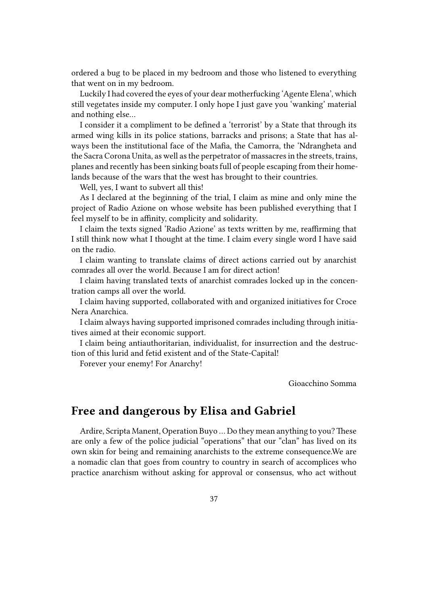ordered a bug to be placed in my bedroom and those who listened to everything that went on in my bedroom.

Luckily I had covered the eyes of your dear motherfucking 'Agente Elena', which still vegetates inside my computer. I only hope I just gave you 'wanking' material and nothing else…

I consider it a compliment to be defined a 'terrorist' by a State that through its armed wing kills in its police stations, barracks and prisons; a State that has always been the institutional face of the Mafia, the Camorra, the 'Ndrangheta and the Sacra Corona Unita, as well as the perpetrator of massacres in the streets, trains, planes and recently has been sinking boats full of people escaping from their homelands because of the wars that the west has brought to their countries.

Well, yes, I want to subvert all this!

As I declared at the beginning of the trial, I claim as mine and only mine the project of Radio Azione on whose website has been published everything that I feel myself to be in affinity, complicity and solidarity.

I claim the texts signed 'Radio Azione' as texts written by me, reaffirming that I still think now what I thought at the time. I claim every single word I have said on the radio.

I claim wanting to translate claims of direct actions carried out by anarchist comrades all over the world. Because I am for direct action!

I claim having translated texts of anarchist comrades locked up in the concentration camps all over the world.

I claim having supported, collaborated with and organized initiatives for Croce Nera Anarchica.

I claim always having supported imprisoned comrades including through initiatives aimed at their economic support.

I claim being antiauthoritarian, individualist, for insurrection and the destruction of this lurid and fetid existent and of the State-Capital!

Forever your enemy! For Anarchy!

Gioacchino Somma

### <span id="page-36-0"></span>**Free and dangerous by Elisa and Gabriel**

Ardire, Scripta Manent, Operation Buyo ... Do they mean anything to you? These are only a few of the police judicial "operations" that our "clan" has lived on its own skin for being and remaining anarchists to the extreme consequence.We are a nomadic clan that goes from country to country in search of accomplices who practice anarchism without asking for approval or consensus, who act without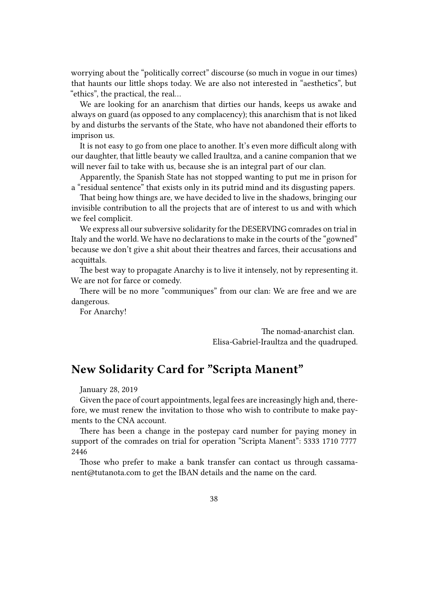worrying about the "politically correct" discourse (so much in vogue in our times) that haunts our little shops today. We are also not interested in "aesthetics", but "ethics", the practical, the real…

We are looking for an anarchism that dirties our hands, keeps us awake and always on guard (as opposed to any complacency); this anarchism that is not liked by and disturbs the servants of the State, who have not abandoned their efforts to imprison us.

It is not easy to go from one place to another. It's even more difficult along with our daughter, that little beauty we called Iraultza, and a canine companion that we will never fail to take with us, because she is an integral part of our clan.

Apparently, the Spanish State has not stopped wanting to put me in prison for a "residual sentence" that exists only in its putrid mind and its disgusting papers.

That being how things are, we have decided to live in the shadows, bringing our invisible contribution to all the projects that are of interest to us and with which we feel complicit.

We express all our subversive solidarity for the DESERVING comrades on trial in Italy and the world. We have no declarations to make in the courts of the "gowned" because we don't give a shit about their theatres and farces, their accusations and acquittals.

The best way to propagate Anarchy is to live it intensely, not by representing it. We are not for farce or comedy.

There will be no more "communiques" from our clan: We are free and we are dangerous.

For Anarchy!

The nomad-anarchist clan. Elisa-Gabriel-Iraultza and the quadruped.

### <span id="page-37-0"></span>**New Solidarity Card for "Scripta Manent"**

January 28, 2019

Given the pace of court appointments, legal fees are increasingly high and, therefore, we must renew the invitation to those who wish to contribute to make payments to the CNA account.

There has been a change in the postepay card number for paying money in support of the comrades on trial for operation "Scripta Manent": 5333 1710 7777 2446

Those who prefer to make a bank transfer can contact us through cassamanent@tutanota.com to get the IBAN details and the name on the card.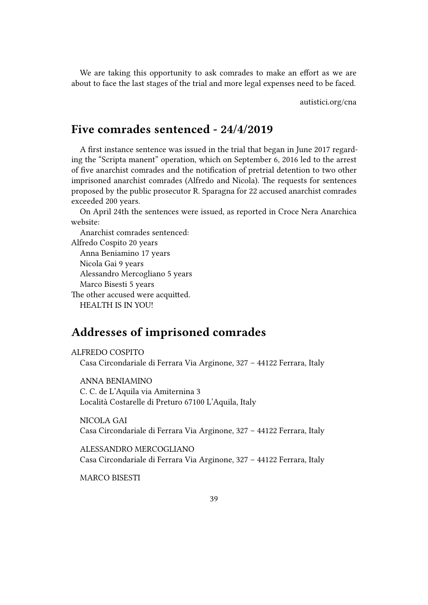We are taking this opportunity to ask comrades to make an effort as we are about to face the last stages of the trial and more legal expenses need to be faced.

autistici.org/cna

### <span id="page-38-0"></span>**Five comrades sentenced - 24/4/2019**

A first instance sentence was issued in the trial that began in June 2017 regarding the "Scripta manent" operation, which on September 6, 2016 led to the arrest of five anarchist comrades and the notification of pretrial detention to two other imprisoned anarchist comrades (Alfredo and Nicola). The requests for sentences proposed by the public prosecutor R. Sparagna for 22 accused anarchist comrades exceeded 200 years.

On April 24th the sentences were issued, as reported in Croce Nera Anarchica website:

Anarchist comrades sentenced: Alfredo Cospito 20 years Anna Beniamino 17 years Nicola Gai 9 years Alessandro Mercogliano 5 years Marco Bisesti 5 years The other accused were acquitted.

HEALTH IS IN YOU!

### <span id="page-38-1"></span>**Addresses of imprisoned comrades**

ALFREDO COSPITO Casa Circondariale di Ferrara Via Arginone, 327 – 44122 Ferrara, Italy

ANNA BENIAMINO C. C. de L'Aquila via Amiternina 3 Località Costarelle di Preturo 67100 L'Aquila, Italy

NICOLA GAI Casa Circondariale di Ferrara Via Arginone, 327 – 44122 Ferrara, Italy

ALESSANDRO MERCOGLIANO Casa Circondariale di Ferrara Via Arginone, 327 – 44122 Ferrara, Italy

MARCO BISESTI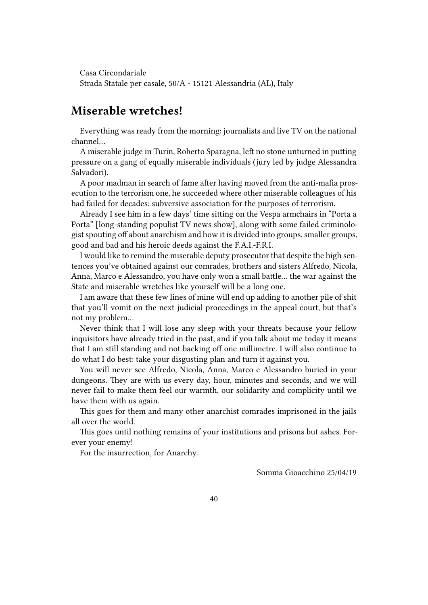Casa Circondariale Strada Statale per casale, 50/A - 15121 Alessandria (AL), Italy

### **Miserable wretches!**

Everything was ready from the morning: journalists and live TV on the national channel…

A miserable judge in Turin, Roberto Sparagna, left no stone unturned in putting pressure on a gang of equally miserable individuals (jury led by judge Alessandra Salvadori).

A poor madman in search of fame after having moved from the anti-mafia prosecution to the terrorism one, he succeeded where other miserable colleagues of his had failed for decades: subversive association for the purposes of terrorism.

Already I see him in a few days' time sitting on the Vespa armchairs in "Porta a Porta" [long-standing populist TV news show], along with some failed criminologist spouting off about anarchism and how it is divided into groups, smaller groups, good and bad and his heroic deeds against the F.A.I.-F.R.I.

I would like to remind the miserable deputy prosecutor that despite the high sentences you've obtained against our comrades, brothers and sisters Alfredo, Nicola, Anna, Marco e Alessandro, you have only won a small battle… the war against the State and miserable wretches like yourself will be a long one.

I am aware that these few lines of mine will end up adding to another pile of shit that you'll vomit on the next judicial proceedings in the appeal court, but that's not my problem…

Never think that I will lose any sleep with your threats because your fellow inquisitors have already tried in the past, and if you talk about me today it means that I am still standing and not backing off one millimetre. I will also continue to do what I do best: take your disgusting plan and turn it against you.

You will never see Alfredo, Nicola, Anna, Marco e Alessandro buried in your dungeons. They are with us every day, hour, minutes and seconds, and we will never fail to make them feel our warmth, our solidarity and complicity until we have them with us again.

This goes for them and many other anarchist comrades imprisoned in the jails all over the world.

This goes until nothing remains of your institutions and prisons but ashes. Forever your enemy!

For the insurrection, for Anarchy.

Somma Gioacchino 25/04/19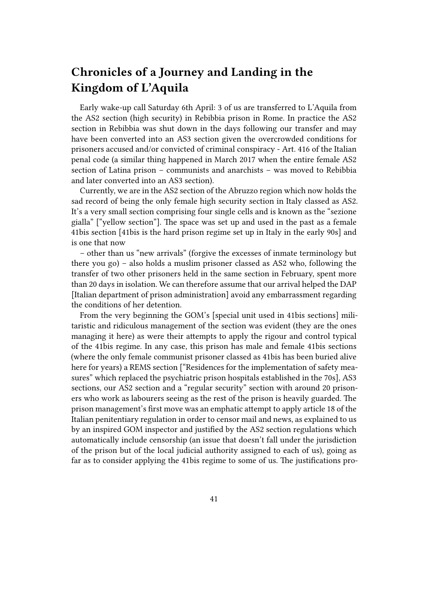# **Chronicles of a Journey and Landing in the Kingdom of L'Aquila**

Early wake-up call Saturday 6th April: 3 of us are transferred to L'Aquila from the AS2 section (high security) in Rebibbia prison in Rome. In practice the AS2 section in Rebibbia was shut down in the days following our transfer and may have been converted into an AS3 section given the overcrowded conditions for prisoners accused and/or convicted of criminal conspiracy - Art. 416 of the Italian penal code (a similar thing happened in March 2017 when the entire female AS2 section of Latina prison – communists and anarchists – was moved to Rebibbia and later converted into an AS3 section).

Currently, we are in the AS2 section of the Abruzzo region which now holds the sad record of being the only female high security section in Italy classed as AS2. It's a very small section comprising four single cells and is known as the "sezione gialla" ["yellow section"]. The space was set up and used in the past as a female 41bis section [41bis is the hard prison regime set up in Italy in the early 90s] and is one that now

– other than us "new arrivals" (forgive the excesses of inmate terminology but there you go) – also holds a muslim prisoner classed as AS2 who, following the transfer of two other prisoners held in the same section in February, spent more than 20 days in isolation. We can therefore assume that our arrival helped the DAP [Italian department of prison administration] avoid any embarrassment regarding the conditions of her detention.

From the very beginning the GOM's [special unit used in 41bis sections] militaristic and ridiculous management of the section was evident (they are the ones managing it here) as were their attempts to apply the rigour and control typical of the 41bis regime. In any case, this prison has male and female 41bis sections (where the only female communist prisoner classed as 41bis has been buried alive here for years) a REMS section ["Residences for the implementation of safety measures" which replaced the psychiatric prison hospitals established in the 70s], AS3 sections, our AS2 section and a "regular security" section with around 20 prisoners who work as labourers seeing as the rest of the prison is heavily guarded. The prison management's first move was an emphatic attempt to apply article 18 of the Italian penitentiary regulation in order to censor mail and news, as explained to us by an inspired GOM inspector and justified by the AS2 section regulations which automatically include censorship (an issue that doesn't fall under the jurisdiction of the prison but of the local judicial authority assigned to each of us), going as far as to consider applying the 41bis regime to some of us. The justifications pro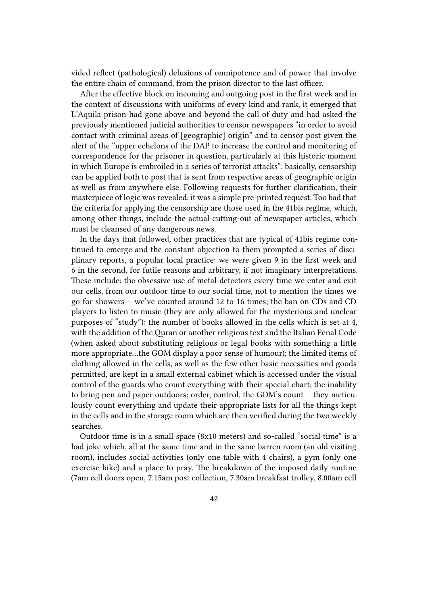vided reflect (pathological) delusions of omnipotence and of power that involve the entire chain of command, from the prison director to the last officer.

After the effective block on incoming and outgoing post in the first week and in the context of discussions with uniforms of every kind and rank, it emerged that L'Aquila prison had gone above and beyond the call of duty and had asked the previously mentioned judicial authorities to censor newspapers "in order to avoid contact with criminal areas of [geographic] origin" and to censor post given the alert of the "upper echelons of the DAP to increase the control and monitoring of correspondence for the prisoner in question, particularly at this historic moment in which Europe is embroiled in a series of terrorist attacks": basically, censorship can be applied both to post that is sent from respective areas of geographic origin as well as from anywhere else. Following requests for further clarification, their masterpiece of logic was revealed: it was a simple pre-printed request. Too bad that the criteria for applying the censorship are those used in the 41bis regime, which, among other things, include the actual cutting-out of newspaper articles, which must be cleansed of any dangerous news.

In the days that followed, other practices that are typical of 41bis regime continued to emerge and the constant objection to them prompted a series of disciplinary reports, a popular local practice: we were given 9 in the first week and 6 in the second, for futile reasons and arbitrary, if not imaginary interpretations. These include: the obsessive use of metal-detectors every time we enter and exit our cells, from our outdoor time to our social time, not to mention the times we go for showers – we've counted around 12 to 16 times; the ban on CDs and CD players to listen to music (they are only allowed for the mysterious and unclear purposes of "study"): the number of books allowed in the cells which is set at 4, with the addition of the Quran or another religious text and the Italian Penal Code (when asked about substituting religious or legal books with something a little more appropriate…the GOM display a poor sense of humour); the limited items of clothing allowed in the cells, as well as the few other basic necessities and goods permitted, are kept in a small external cabinet which is accessed under the visual control of the guards who count everything with their special chart; the inability to bring pen and paper outdoors; order, control, the GOM's count – they meticulously count everything and update their appropriate lists for all the things kept in the cells and in the storage room which are then verified during the two weekly searches.

Outdoor time is in a small space (8x10 meters) and so-called "social time" is a bad joke which, all at the same time and in the same barren room (an old visiting room), includes social activities (only one table with 4 chairs), a gym (only one exercise bike) and a place to pray. The breakdown of the imposed daily routine (7am cell doors open, 7.15am post collection, 7.30am breakfast trolley, 8.00am cell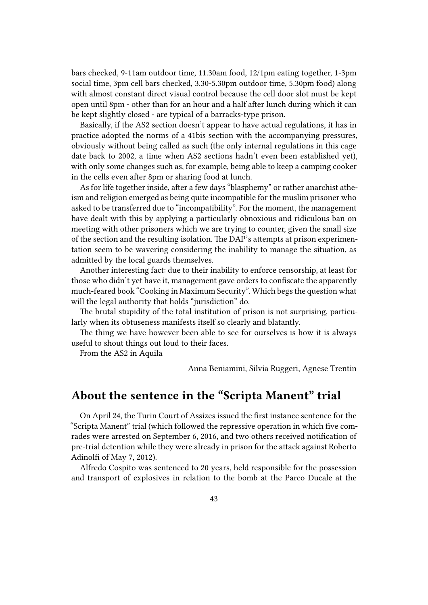bars checked, 9-11am outdoor time, 11.30am food, 12/1pm eating together, 1-3pm social time, 3pm cell bars checked, 3.30-5.30pm outdoor time, 5.30pm food) along with almost constant direct visual control because the cell door slot must be kept open until 8pm - other than for an hour and a half after lunch during which it can be kept slightly closed - are typical of a barracks-type prison.

Basically, if the AS2 section doesn't appear to have actual regulations, it has in practice adopted the norms of a 41bis section with the accompanying pressures, obviously without being called as such (the only internal regulations in this cage date back to 2002, a time when AS2 sections hadn't even been established yet), with only some changes such as, for example, being able to keep a camping cooker in the cells even after 8pm or sharing food at lunch.

As for life together inside, after a few days "blasphemy" or rather anarchist atheism and religion emerged as being quite incompatible for the muslim prisoner who asked to be transferred due to "incompatibility". For the moment, the management have dealt with this by applying a particularly obnoxious and ridiculous ban on meeting with other prisoners which we are trying to counter, given the small size of the section and the resulting isolation. The DAP's attempts at prison experimentation seem to be wavering considering the inability to manage the situation, as admitted by the local guards themselves.

Another interesting fact: due to their inability to enforce censorship, at least for those who didn't yet have it, management gave orders to confiscate the apparently much-feared book "Cooking in Maximum Security". Which begs the question what will the legal authority that holds "jurisdiction" do.

The brutal stupidity of the total institution of prison is not surprising, particularly when its obtuseness manifests itself so clearly and blatantly.

The thing we have however been able to see for ourselves is how it is always useful to shout things out loud to their faces.

From the AS2 in Aquila

Anna Beniamini, Silvia Ruggeri, Agnese Trentin

# **About the sentence in the "Scripta Manent" trial**

On April 24, the Turin Court of Assizes issued the first instance sentence for the "Scripta Manent" trial (which followed the repressive operation in which five comrades were arrested on September 6, 2016, and two others received notification of pre-trial detention while they were already in prison for the attack against Roberto Adinolfi of May 7, 2012).

Alfredo Cospito was sentenced to 20 years, held responsible for the possession and transport of explosives in relation to the bomb at the Parco Ducale at the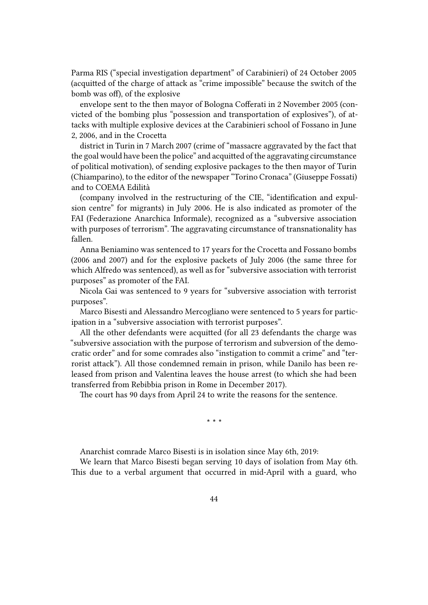Parma RIS ("special investigation department" of Carabinieri) of 24 October 2005 (acquitted of the charge of attack as "crime impossible" because the switch of the bomb was off), of the explosive

envelope sent to the then mayor of Bologna Cofferati in 2 November 2005 (convicted of the bombing plus "possession and transportation of explosives"), of attacks with multiple explosive devices at the Carabinieri school of Fossano in June 2, 2006, and in the Crocetta

district in Turin in 7 March 2007 (crime of "massacre aggravated by the fact that the goal would have been the police" and acquitted of the aggravating circumstance of political motivation), of sending explosive packages to the then mayor of Turin (Chiamparino), to the editor of the newspaper "Torino Cronaca" (Giuseppe Fossati) and to COEMA Edilità

(company involved in the restructuring of the CIE, "identification and expulsion centre" for migrants) in July 2006. He is also indicated as promoter of the FAI (Federazione Anarchica Informale), recognized as a "subversive association with purposes of terrorism". The aggravating circumstance of transnationality has fallen.

Anna Beniamino was sentenced to 17 years for the Crocetta and Fossano bombs (2006 and 2007) and for the explosive packets of July 2006 (the same three for which Alfredo was sentenced), as well as for "subversive association with terrorist purposes" as promoter of the FAI.

Nicola Gai was sentenced to 9 years for "subversive association with terrorist purposes".

Marco Bisesti and Alessandro Mercogliano were sentenced to 5 years for participation in a "subversive association with terrorist purposes".

All the other defendants were acquitted (for all 23 defendants the charge was "subversive association with the purpose of terrorism and subversion of the democratic order" and for some comrades also "instigation to commit a crime" and "terrorist attack"). All those condemned remain in prison, while Danilo has been released from prison and Valentina leaves the house arrest (to which she had been transferred from Rebibbia prison in Rome in December 2017).

The court has 90 days from April 24 to write the reasons for the sentence.

**\* \* \***

Anarchist comrade Marco Bisesti is in isolation since May 6th, 2019:

We learn that Marco Bisesti began serving 10 days of isolation from May 6th. This due to a verbal argument that occurred in mid-April with a guard, who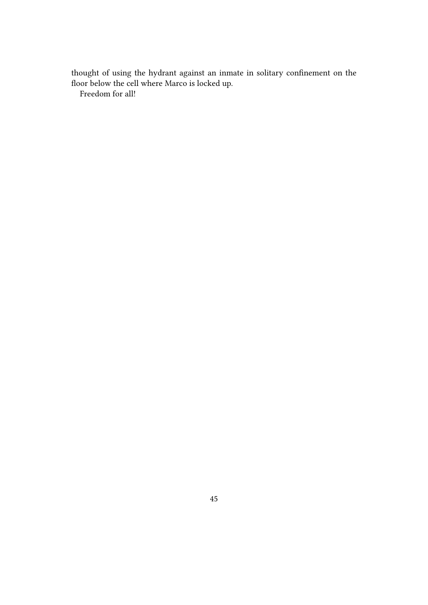thought of using the hydrant against an inmate in solitary confinement on the floor below the cell where Marco is locked up.

Freedom for all!